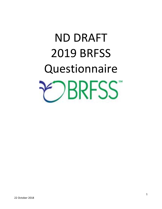# ND DRAFT 2019 BRFSS **Questionnaire RESS**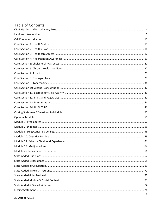## Table of Contents

| $\mathcal{D}$ |
|---------------|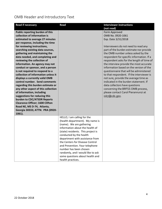# OMB Header and Introductory Text

| <b>Read if necessary</b>               | <b>Read</b>                        | <b>Interviewer instructions</b>           |
|----------------------------------------|------------------------------------|-------------------------------------------|
|                                        |                                    | (not read)                                |
| Public reporting burden of this        |                                    | Form Approved                             |
| collection of information is           |                                    | OMB No. 0920-1061                         |
| estimated to average 27 minutes        |                                    | Exp. Date 3/31/2018                       |
| per response, including the time       |                                    |                                           |
| for reviewing instructions,            |                                    | Interviewers do not need to read any      |
| searching existing data sources,       |                                    | part of the burden estimate nor provide   |
| gathering and maintaining the          |                                    | the OMB number unless asked by the        |
| data needed, and completing and        |                                    | respondent for specific information. If a |
| reviewing the collection of            |                                    | respondent asks for the length of time of |
| information. An agency may not         |                                    | the interview provide the most accurate   |
| conduct or sponsor, and a person       |                                    | information based on the version of the   |
| is not required to respond to a        |                                    | questionnaire that will be administered   |
| collection of information unless it    |                                    | to that respondent. If the interviewer is |
| displays a currently valid OMB         |                                    | not sure, provide the average time as     |
| control number. Send comments          |                                    | indicated in the burden statement. If     |
| regarding this burden estimate or      |                                    | data collectors have questions            |
| any other aspect of this collection    |                                    | concerning the BRFSS OMB process,         |
| of information, including              |                                    | please contact Carol Pierannunzi at       |
| suggestions for reducing this          |                                    | ivk7@cdc.gov.                             |
| burden to CDC/ATSDR Reports            |                                    |                                           |
| <b>Clearance Officer; 1600 Clifton</b> |                                    |                                           |
| Road NE, MS D-74, Atlanta,             |                                    |                                           |
| Georgia 30333; ATTN: PRA (0920-        |                                    |                                           |
| 1061).                                 |                                    |                                           |
|                                        | HELLO, I am calling for the        |                                           |
|                                        | (health department). My name is    |                                           |
|                                        | (name). We are gathering           |                                           |
|                                        | information about the health of    |                                           |
|                                        | (state) residents. This project is |                                           |
|                                        | conducted by the health            |                                           |
|                                        | department with assistance from    |                                           |
|                                        | the Centers for Disease Control    |                                           |
|                                        | and Prevention. Your telephone     |                                           |
|                                        | number has been chosen             |                                           |
|                                        | randomly, and I would like to ask  |                                           |
|                                        | some questions about health and    |                                           |
|                                        | health practices.                  |                                           |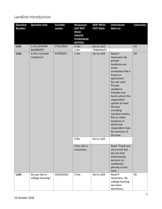#### Landline Introduction

| <b>Question</b><br><b>Number</b> | <b>Question text</b>               | Variable<br>names | <b>Responses</b><br><b>(DO NOT</b><br><b>READ</b><br><b>UNLESS</b> | <b>SKIP INFO/</b><br><b>CATI Note</b> | <b>Interviewer</b><br>Note (s)                                                                                                                                                                                                                                                                                                                                   | Column(s) |
|----------------------------------|------------------------------------|-------------------|--------------------------------------------------------------------|---------------------------------------|------------------------------------------------------------------------------------------------------------------------------------------------------------------------------------------------------------------------------------------------------------------------------------------------------------------------------------------------------------------|-----------|
|                                  |                                    |                   | <b>OTHERWISE</b><br><b>NOTED)</b>                                  |                                       |                                                                                                                                                                                                                                                                                                                                                                  |           |
| LL01.                            | Is this [PHONE<br>NUMBER]?         | CTELENM1          | 1 Yes<br>2 No                                                      | Go to LL02<br><b>TERMINATE</b>        |                                                                                                                                                                                                                                                                                                                                                                  | 63        |
| LL02.                            | Is this a private<br>residence?    | PVTRESD1          | 1 Yes                                                              | Go to LL04                            | Read if<br>necessary: By<br>private<br>residence we<br>mean<br>someplace like a<br>house or<br>apartment.<br>Do not read:<br>Private<br>residence<br>includes any<br>home where the<br>respondent<br>spends at least<br>30 days<br>including<br>vacation homes,<br>RVs or other<br>locations in<br>which the<br>respondent lives<br>for portions of<br>the year. | 64        |
|                                  |                                    |                   | 2 No                                                               | Go to LL03                            |                                                                                                                                                                                                                                                                                                                                                                  |           |
|                                  |                                    |                   | 3 No, this is<br>a business                                        |                                       | Read: Thank you<br>very much but<br>we are only<br>interviewing<br>persons on<br>residential<br>phones at this<br>time.                                                                                                                                                                                                                                          |           |
| LL03.                            | Do you live in<br>college housing? | <b>COLGHOUS</b>   | 1 Yes                                                              | Go to LL04                            | Read if<br>necessary: By<br>college housing<br>we mean<br>dormitory,                                                                                                                                                                                                                                                                                             | 65        |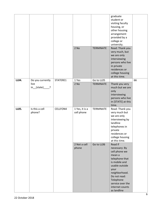|       |                                  |          |                              |                  | graduate<br>student or<br>visiting faculty<br>housing, or<br>other housing<br>arrangement<br>provided by a<br>college or<br>university.                                                                              |    |
|-------|----------------------------------|----------|------------------------------|------------------|----------------------------------------------------------------------------------------------------------------------------------------------------------------------------------------------------------------------|----|
|       |                                  |          | 2 No                         | <b>TERMINATE</b> | Read: Thank you<br>very much, but<br>we are only<br>interviewing<br>persons who live<br>in private<br>residences or<br>college housing<br>at this time.                                                              |    |
| LL04. | Do you currently                 | STATERE1 | 1 Yes                        | Go to LL05       |                                                                                                                                                                                                                      | 66 |
|       | live<br>$in_{\text{I}}(state)$ . |          | 2 No                         | <b>TERMINATE</b> | Thank you very<br>much but we are<br>only<br>interviewing<br>persons who live<br>in [STATE] at this<br>time.                                                                                                         |    |
| LL05. | Is this a cell<br>phone?         | CELLFON4 | 1 Yes, it is a<br>cell phone | <b>TERMINATE</b> | Read: Thank you<br>very much but<br>we are only<br>interviewing by<br>landline<br>telephones in<br>private<br>residences or<br>college housing<br>at this time.                                                      |    |
|       |                                  |          | 2 Not a cell<br>phone        | Go to LL06       | Read if<br>necessary: By<br>cell phone we<br>mean a<br>telephone that<br>is mobile and<br>usable outside<br>your<br>neighborhood.<br>Do not read:<br>Telephone<br>service over the<br>internet counts<br>as landline |    |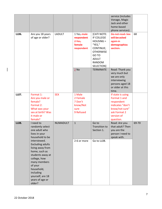| LL06.        | Are you 18 years<br>of age or older?                                                                                                                                                                                                                                                                         | <b>LADULT</b>   | 1 Yes, male<br>respondent<br>$2$ Yes,<br>female<br>respondent  | [CATI NOTE:<br>IF COLLEGE<br>$HOUSING =$<br>"YES,"<br>CONTINUE;<br><b>OTHERWISE</b><br>GO TO<br><b>ADULT</b><br>RANDOM | service (includes<br>Vonage, Magic<br>Jack and other<br>home-based<br>phone services).<br>Do not read: Sex<br>will be asked<br>again in<br>demographics<br>section. | 68    |
|--------------|--------------------------------------------------------------------------------------------------------------------------------------------------------------------------------------------------------------------------------------------------------------------------------------------------------------|-----------------|----------------------------------------------------------------|------------------------------------------------------------------------------------------------------------------------|---------------------------------------------------------------------------------------------------------------------------------------------------------------------|-------|
|              |                                                                                                                                                                                                                                                                                                              |                 | $2$ No                                                         | SELECTION]<br><b>TERMINATE</b>                                                                                         | Read: Thank you<br>very much but<br>we are only<br>interviewing<br>persons aged 18<br>or older at this<br>time.                                                     |       |
| LL07.        | Format 1:<br>Are you male or<br>female?<br>Format 2:<br>What was your<br>sex at birth? Was<br>it male or<br>female?                                                                                                                                                                                          | <b>SEX</b>      | 1 Male<br>2 Female<br>7 Don't<br>know/Not<br>sure<br>9 Refused |                                                                                                                        | If state is using<br>Format 1 and<br>respondent<br>indicates "don't<br>know/not sure"<br>ask Format 2<br>version of<br>question.                                    |       |
| <b>LL08.</b> | I need to<br>randomly select<br>one adult who<br>lives in your<br>household to be<br>interviewed.<br><b>Excluding adults</b><br>living away from<br>home, such as<br>students away at<br>college, how<br>many members<br>of your<br>household,<br>including<br>yourself, are 18<br>years of age or<br>older? | <b>NUMADULT</b> | $\mathbf{1}$<br>2-6 or more                                    | Go to<br><b>Transition to</b><br>Section 1.<br>Go to LL08.                                                             | Read: Are you<br>that adult? Then<br>you are the<br>person I need to<br>speak with.                                                                                 | 69-70 |

 $\overline{\phantom{a}}$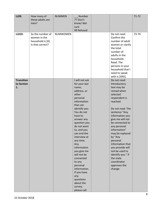| LL09.                                 | How many of<br>these adults are<br>men?                                   | <b>NUMMEN</b>   | Number<br>77 Don't<br>know/Not<br>sure                                                                                                                                                                                                                                                                                                                                                                                                     |                                                                                                                                                                                                                                                                                                                                                                                                                    | $71 - 72$ |
|---------------------------------------|---------------------------------------------------------------------------|-----------------|--------------------------------------------------------------------------------------------------------------------------------------------------------------------------------------------------------------------------------------------------------------------------------------------------------------------------------------------------------------------------------------------------------------------------------------------|--------------------------------------------------------------------------------------------------------------------------------------------------------------------------------------------------------------------------------------------------------------------------------------------------------------------------------------------------------------------------------------------------------------------|-----------|
|                                       |                                                                           |                 | 99 Refused                                                                                                                                                                                                                                                                                                                                                                                                                                 |                                                                                                                                                                                                                                                                                                                                                                                                                    |           |
| LL010.                                | So the number of<br>women in the<br>household is [X].<br>Is that correct? | <b>NUMWOMEN</b> |                                                                                                                                                                                                                                                                                                                                                                                                                                            | Do not read:<br>Confirm the<br>number of adult<br>women or clarify<br>the total<br>number of<br>adults in the<br>household.<br>Read: The<br>persons in your<br>household that I<br>need to speak<br>with is [XXX].                                                                                                                                                                                                 | 73-74     |
| <b>Transition</b><br>to Section<br>1. |                                                                           |                 | I will not ask<br>for your last<br>name,<br>address, or<br>other<br>personal<br>information<br>that can<br>identify you.<br>You do not<br>have to<br>answer any<br>question you<br>do not want<br>to, and you<br>can end the<br>interview at<br>any time.<br>Any<br>information<br>you give me<br>will not be<br>connected<br>to any<br>personal<br>information.<br>If you have<br>any<br>questions<br>about the<br>survey,<br>please call | Do not read:<br>Introductory<br>text may be<br>reread when<br>selected<br>respondent is<br>reached.<br>Do not read: The<br>sentence "Any<br>information you<br>give me will not<br>be connected to<br>any personal<br>information"<br>may be replaced<br>by "Any<br>personal<br>information that<br>you provide will<br>not be used to<br>identify you." If<br>the state<br>coordinator<br>approves the<br>change. |           |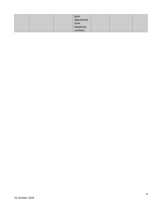|  | (give<br>appropriate |  |  |
|--|----------------------|--|--|
|  | state                |  |  |
|  | telephone            |  |  |
|  | number).             |  |  |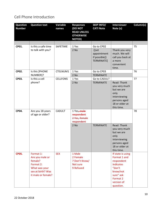## Cell Phone Introduction

| <b>Question</b><br><b>Number</b> | <b>Question text</b>                                                                                             | Variable<br>names | <b>Responses</b><br><b>(DO NOT</b><br><b>READ UNLESS</b><br><b>OTHERWISE</b><br><b>NOTED)</b> | <b>SKIP INFO/</b><br><b>CATI Note</b>               | <b>Interviewer</b><br>Note (s)                                                                                                         | Column(s) |
|----------------------------------|------------------------------------------------------------------------------------------------------------------|-------------------|-----------------------------------------------------------------------------------------------|-----------------------------------------------------|----------------------------------------------------------------------------------------------------------------------------------------|-----------|
|                                  |                                                                                                                  |                   |                                                                                               |                                                     |                                                                                                                                        |           |
| CP01.                            | Is this a safe time                                                                                              | SAFETIME          | 1 Yes                                                                                         | Go to CP02                                          |                                                                                                                                        | 75        |
|                                  | to talk with you?                                                                                                |                   | 2 No                                                                                          | ([set<br>appointment<br>if possible])<br>TERMINATE] | Thank you very<br>much. We will<br>call you back at<br>a more<br>convenient<br>time.                                                   |           |
| CP02.                            | Is this [PHONE                                                                                                   | CTELNUM1          | 1 Yes                                                                                         | Go to CP03                                          |                                                                                                                                        | 76        |
|                                  | NUMBER]?                                                                                                         |                   | 2 No                                                                                          | <b>TERMINATE</b>                                    |                                                                                                                                        |           |
| CP03.                            | Is this a cell<br>phone?                                                                                         | <b>CELLFON5</b>   | 1 Yes<br>$2$ No                                                                               | Go to CADULT<br><b>TERMINATE</b>                    | Read: Thank<br>you very much<br>but we are<br>only<br>interviewing<br>persons aged<br>18 or older at<br>this time.                     | 77        |
| CP04.                            | Are you 18 years<br>of age or older?                                                                             | <b>CADULT</b>     | 1 Yes, male<br>respondent<br>2 Yes, female<br>respondent<br>$2$ No                            | <b>TERMINATE</b>                                    | Read: Thank<br>you very much<br>but we are<br>only<br>interviewing<br>persons aged<br>18 or older at<br>this time.                     | 78        |
| <b>CP05.</b>                     | Format 1:<br>Are you male or<br>female?<br>Format 2:<br>What was your<br>sex at birth? Was<br>it male or female? | <b>SEX</b>        | 1 Male<br>2 Female<br>7 Don't Know/<br>Not sure<br>9 Refused                                  |                                                     | If state is using<br>Format 1 and<br>respondent<br>indicates<br>"don't<br>know/not<br>sure" ask<br>Format 2<br>version of<br>question. |           |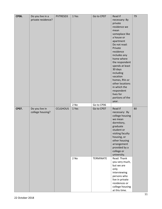| <b>CP06.</b> | Do you live in a<br>private residence? | PVTRESD3        | 1 Yes | Go to CP07       | Read if<br>necessary: By<br>private<br>residence we<br>mean<br>someplace like<br>a house or<br>apartment<br>Do not read:<br>Private<br>residence<br>includes any<br>home where<br>the respondent                | 79 |
|--------------|----------------------------------------|-----------------|-------|------------------|-----------------------------------------------------------------------------------------------------------------------------------------------------------------------------------------------------------------|----|
|              |                                        |                 | 2 No  | Go to CP06       | spends at least<br>30 days<br>including<br>vacation<br>homes, RVs or<br>other locations<br>in which the<br>respondent<br>lives for<br>portions of the<br>year.                                                  |    |
| CP07.        | Do you live in<br>college housing?     | <b>CCLGHOUS</b> | 1 Yes | Go to CP07       | Read if<br>necessary: By<br>college housing<br>we mean<br>dormitory,<br>graduate<br>student or<br>visiting faculty<br>housing, or<br>other housing<br>arrangement<br>provided by a<br>college or<br>university. | 80 |
|              |                                        |                 | 2 No  | <b>TERMINATE</b> | Read: Thank<br>you very much,<br>but we are<br>only<br>interviewing<br>persons who<br>live in private<br>residences or<br>college housing<br>at this time.                                                      |    |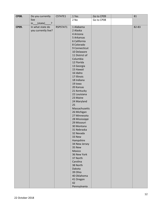| <b>CP08.</b> | Do you currently                    | CSTATE1  | 1 Yes                         | Go to CP09 | 81    |
|--------------|-------------------------------------|----------|-------------------------------|------------|-------|
|              | live                                |          | 2 No                          | Go to CP08 |       |
|              | (state)<br>$\overline{\cdot}$<br>in |          |                               |            |       |
| CP09.        | In what state do                    | RSPSTAT1 | 1 Alabama                     |            | 82-83 |
|              | you currently live?                 |          | 2 Alaska                      |            |       |
|              |                                     |          | 4 Arizona                     |            |       |
|              |                                     |          | 5 Arkansas                    |            |       |
|              |                                     |          | 6 California                  |            |       |
|              |                                     |          | 8 Colorado                    |            |       |
|              |                                     |          | 9 Connecticut                 |            |       |
|              |                                     |          | 10 Delaware                   |            |       |
|              |                                     |          | 11 District of                |            |       |
|              |                                     |          | Columbia                      |            |       |
|              |                                     |          | 12 Florida                    |            |       |
|              |                                     |          | 13 Georgia                    |            |       |
|              |                                     |          | 15 Hawaii                     |            |       |
|              |                                     |          | 16 Idaho                      |            |       |
|              |                                     |          | 17 Illinois                   |            |       |
|              |                                     |          | 18 Indiana                    |            |       |
|              |                                     |          | 19 Iowa                       |            |       |
|              |                                     |          | 20 Kansas                     |            |       |
|              |                                     |          | 21 Kentucky                   |            |       |
|              |                                     |          | 22 Louisiana                  |            |       |
|              |                                     |          | 23 Maine                      |            |       |
|              |                                     |          | 24 Maryland                   |            |       |
|              |                                     |          | 25                            |            |       |
|              |                                     |          | Massachusetts                 |            |       |
|              |                                     |          | 26 Michigan                   |            |       |
|              |                                     |          | 27 Minnesota                  |            |       |
|              |                                     |          | 28 Mississippi<br>29 Missouri |            |       |
|              |                                     |          |                               |            |       |
|              |                                     |          | 30 Montana<br>31 Nebraska     |            |       |
|              |                                     |          | 32 Nevada                     |            |       |
|              |                                     |          | 33 New                        |            |       |
|              |                                     |          | Hampshire                     |            |       |
|              |                                     |          | 34 New Jersey                 |            |       |
|              |                                     |          | 35 New                        |            |       |
|              |                                     |          | Mexico                        |            |       |
|              |                                     |          | 36 New York                   |            |       |
|              |                                     |          | 37 North                      |            |       |
|              |                                     |          | Carolina                      |            |       |
|              |                                     |          | 38 North                      |            |       |
|              |                                     |          | Dakota                        |            |       |
|              |                                     |          | 39 Ohio                       |            |       |
|              |                                     |          | 40 Oklahoma                   |            |       |
|              |                                     |          | 41 Oregon                     |            |       |
|              |                                     |          | 42                            |            |       |
|              |                                     |          | Pennsylvania                  |            |       |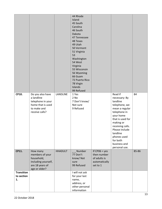|                                       |                                                                                                           |                | 44 Rhode<br>Island<br>45 South<br>Carolina<br>46 South<br>Dakota<br>47 Tennessee<br>48 Texas<br>49 Utah<br>50 Vermont<br>51 Virginia<br>53<br>Washington<br>54 West<br>Virginia<br>55 Wisconsin<br>56 Wyoming<br>66 Guam<br>72 Puerto Rico<br>78 Virgin<br>Islands<br>99 Refused |                                                                             |                                                                                                                                                                                                                                                     |       |
|---------------------------------------|-----------------------------------------------------------------------------------------------------------|----------------|----------------------------------------------------------------------------------------------------------------------------------------------------------------------------------------------------------------------------------------------------------------------------------|-----------------------------------------------------------------------------|-----------------------------------------------------------------------------------------------------------------------------------------------------------------------------------------------------------------------------------------------------|-------|
| CP10.                                 | Do you also have<br>a landline<br>telephone in your<br>home that is used<br>to make and<br>receive calls? | LANDLINE       | 1 Yes<br>2 No<br>7 Don't know/<br>Not sure<br>9 Refused                                                                                                                                                                                                                          |                                                                             | Read if<br>necessary: By<br>landline<br>telephone, we<br>mean a regular<br>telephone in<br>your home<br>that is used for<br>making or<br>receiving calls.<br>Please include<br>landline<br>phones used<br>for both<br>business and<br>personal use. | 84    |
| CP11.                                 | How many<br>members of your<br>household,<br>including yourself,<br>are 18 years of<br>age or older?      | <b>HHADULT</b> | Number<br>77 Don't<br>know/Not<br>sure<br>99 Refused                                                                                                                                                                                                                             | If $CPO6 = yes$<br>then number<br>of adults is<br>automatically<br>set to 1 |                                                                                                                                                                                                                                                     | 85-86 |
| <b>Transition</b><br>to section<br>1. |                                                                                                           |                | I will not ask<br>for your last<br>name,<br>address, or<br>other personal<br>information                                                                                                                                                                                         |                                                                             |                                                                                                                                                                                                                                                     |       |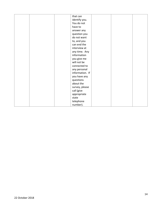|  | that can        |  |  |
|--|-----------------|--|--|
|  | identify you.   |  |  |
|  | You do not      |  |  |
|  | have to         |  |  |
|  | answer any      |  |  |
|  | question you    |  |  |
|  | do not want     |  |  |
|  | to, and you     |  |  |
|  | can end the     |  |  |
|  | interview at    |  |  |
|  | any time. Any   |  |  |
|  | information     |  |  |
|  | you give me     |  |  |
|  | will not be     |  |  |
|  | connected to    |  |  |
|  | any personal    |  |  |
|  | information. If |  |  |
|  | you have any    |  |  |
|  | questions       |  |  |
|  | about the       |  |  |
|  | survey, please  |  |  |
|  | call (give      |  |  |
|  | appropriate     |  |  |
|  | state           |  |  |
|  | telephone       |  |  |
|  | number).        |  |  |
|  |                 |  |  |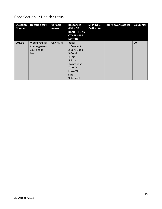#### Core Section 1: Health Status

| <b>Question</b><br><b>Number</b> | <b>Question text</b>                                     | Variable<br>names | <b>Responses</b><br>(DO NOT<br><b>READ UNLESS</b><br><b>OTHERWISE</b><br><b>NOTED)</b>                                        | <b>SKIP INFO/</b><br><b>CATI Note</b> | <b>Interviewer Note (s)</b> | Column(s) |
|----------------------------------|----------------------------------------------------------|-------------------|-------------------------------------------------------------------------------------------------------------------------------|---------------------------------------|-----------------------------|-----------|
| C01.01                           | Would you say<br>that in general<br>your health<br>$is-$ | <b>GENHLTH</b>    | Read:<br>1 Excellent<br>2 Very Good<br>3 Good<br>4 Fair<br>5 Poor<br>Do not read:<br>7 Don't<br>know/Not<br>sure<br>9 Refused |                                       |                             | 90        |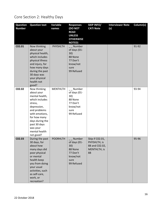# Core Section 2: Healthy Days

| <b>Question</b><br><b>Number</b> | <b>Question text</b>                                                                                                                                                                                                    | Variable<br>names | <b>Responses</b><br>(DO NOT<br><b>READ</b><br><b>UNLESS</b><br><b>OTHERWISE</b><br><b>NOTED)</b> | <b>SKIP INFO/</b><br><b>CATI Note</b>                                   | <b>Interviewer Note</b><br>(s) | Column(s) |
|----------------------------------|-------------------------------------------------------------------------------------------------------------------------------------------------------------------------------------------------------------------------|-------------------|--------------------------------------------------------------------------------------------------|-------------------------------------------------------------------------|--------------------------------|-----------|
| C02.01                           | Now thinking<br>about your<br>physical health,<br>which includes<br>physical illness<br>and injury, for<br>how many days<br>during the past<br>30 days was<br>your physical<br>health not<br>good?                      | <b>PHYSHLTH</b>   | Number<br>of days (01-<br>30)<br>88 None<br>77 Don't<br>know/not<br>sure<br>99 Refused           |                                                                         |                                | 91-92     |
| C02.02                           | Now thinking<br>about your<br>mental health,<br>which includes<br>stress,<br>depression,<br>and problems<br>with emotions,<br>for how many<br>days during the<br>past 30 days<br>was your<br>mental health<br>not good? | <b>MENTHLTH</b>   | Number<br>of days (01-<br>30)<br>88 None<br>77 Don't<br>know/not<br>sure<br>99 Refused           |                                                                         |                                | 93-94     |
| C02.03                           | During the past<br>30 days, for<br>about how<br>many days did<br>poor physical<br>or mental<br>health keep<br>you from doing<br>your usual<br>activities, such<br>as self-care,<br>work, or<br>recreation?              | <b>POORHLTH</b>   | Number<br>of days (01-<br>30)<br>88 None<br>77 Don't<br>know/not<br>sure<br>99 Refused           | Skip if C02.01,<br>PHYSHLTH, is<br>88 and C02.02,<br>MENTHLTH, is<br>88 |                                | 95-96     |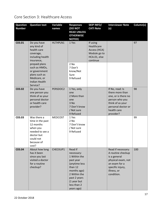#### Core Section 3: Healthcare Access

| <b>Question</b><br><b>Number</b> | <b>Question text</b>                                                                                                          | Variable<br>names | <b>Responses</b><br>(DO NOT<br><b>READ UNLESS</b><br><b>OTHERWISE</b>                                                                                                     | <b>SKIP INFO/</b><br><b>CATI Note</b>                                              | <b>Interviewer Note</b><br>(s)                                                                                                                    | Column(s) |
|----------------------------------|-------------------------------------------------------------------------------------------------------------------------------|-------------------|---------------------------------------------------------------------------------------------------------------------------------------------------------------------------|------------------------------------------------------------------------------------|---------------------------------------------------------------------------------------------------------------------------------------------------|-----------|
| C03.01                           | Do you have<br>any kind of<br>health care<br>coverage,<br>including health<br>insurance,<br>prepaid plans                     | HLTHPLN1          | <b>NOTED)</b><br>1 Yes<br>2 No                                                                                                                                            | If using<br>Healthcare<br>Access (HCA)<br>Module go to<br>HCA.01, else<br>continue |                                                                                                                                                   | 97        |
|                                  | such as HMOs,<br>or government<br>plans such as<br>Medicare, or<br><b>Indian Health</b><br>Service?                           |                   | 7 Don't<br>know/Not<br>Sure<br>9 Refused                                                                                                                                  |                                                                                    |                                                                                                                                                   |           |
| C03.02                           | Do you have<br>one person you<br>think of as your<br>personal doctor<br>or health care<br>provider?                           | PERSDOC2          | 1 Yes, only<br>one<br>2 More than<br>one<br>3 No<br>7 Don't know<br>/ Not sure<br>9 Refused                                                                               |                                                                                    | If No, read: Is<br>there more than<br>one, or is there no<br>person who you<br>think of as your<br>personal doctor or<br>health care<br>provider? | 98        |
| C03.03                           | Was there a<br>time in the past<br>12 months<br>when you<br>needed to see a<br>doctor but<br>could not<br>because of<br>cost? | <b>MEDCOST</b>    | 1 Yes<br>2 No<br>7 Don't know<br>/ Not sure<br>9 Refused                                                                                                                  |                                                                                    |                                                                                                                                                   | 99        |
| C03.04                           | About how long<br>has it been<br>since you last<br>visited a doctor<br>for a routine<br>checkup?                              | CHECKUP1          | Read if<br>necessary:<br>1 Within the<br>past year<br>(anytime less<br>than 12<br>months ago)<br>2 Within the<br>past 2 years<br>(1 year but<br>less than 2<br>years ago) |                                                                                    | Read if necessary:<br>A routine checkup<br>is a general<br>physical exam, not<br>an exam for a<br>specific injury,<br>illness, or<br>condition.   | 100       |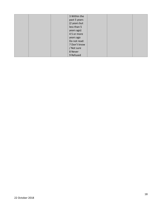|  | 3 Within the |  |  |
|--|--------------|--|--|
|  | past 5 years |  |  |
|  | (2 years but |  |  |
|  | less than 5  |  |  |
|  | years ago)   |  |  |
|  | 45 or more   |  |  |
|  | years ago    |  |  |
|  | Do not read: |  |  |
|  | 7 Don't know |  |  |
|  | / Not sure   |  |  |
|  | 8 Never      |  |  |
|  | 9 Refused    |  |  |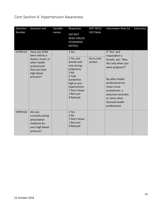## Core Section 4: Hypertension Awareness

| Question<br>Number | Question text                                                                                                                    | Variable<br>names | Responses<br><b>DO NOT</b><br><b>READ UNLESS</b><br><b>OTHERWISE</b><br>NOTED)                                                                                            | SKIP INFO/<br><b>CATI Note</b> | Interviewer Note (s)                                                                                                                                                                                                                            | Column(s) |
|--------------------|----------------------------------------------------------------------------------------------------------------------------------|-------------------|---------------------------------------------------------------------------------------------------------------------------------------------------------------------------|--------------------------------|-------------------------------------------------------------------------------------------------------------------------------------------------------------------------------------------------------------------------------------------------|-----------|
| HYPER.01           | Have you EVER<br>been told by a<br>doctor, nurse, or<br>other health<br>professional<br>that you have<br>high blood<br>pressure? |                   | 1 Yes<br>2 Yes, but<br>female told<br>only during<br>pregnancy<br>3 No<br>4 Told<br>borderline<br>high or pre-<br>hypertensive<br>7 Don't know<br>/ Not sure<br>9 Refused | Go to next<br>section          | If "Yes" and<br>respondent is<br>female, ask: "Was<br>this only when you<br>were pregnant?"<br>By other health<br>professional we<br>mean nurse<br>practitioner, a<br>physician assistant,<br>or some other<br>licensed health<br>professional. |           |
| HYPER.02           | Are you<br>currently taking<br>prescription<br>medicine for<br>your high blood<br>pressure?                                      |                   | 1 Yes<br>2 No<br>7 Don't know<br>/ Not sure<br>9 Refused                                                                                                                  |                                |                                                                                                                                                                                                                                                 |           |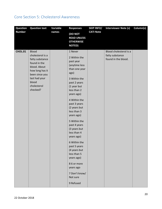## Core Section 5: Cholesterol Awareness

| <b>Question</b> | <b>Question text</b>                                                                                                                                                          | Variable | <b>Responses</b>                                                                                                                                                                                                                                                                                                                                                                                                                                                       | <b>SKIP INFO/</b> | <b>Interviewer Note (s)</b>                                      | Column(s) |
|-----------------|-------------------------------------------------------------------------------------------------------------------------------------------------------------------------------|----------|------------------------------------------------------------------------------------------------------------------------------------------------------------------------------------------------------------------------------------------------------------------------------------------------------------------------------------------------------------------------------------------------------------------------------------------------------------------------|-------------------|------------------------------------------------------------------|-----------|
| <b>Number</b>   |                                                                                                                                                                               | names    | (DO NOT<br><b>READ UNLESS</b><br><b>OTHERWISE</b><br><b>NOTED)</b>                                                                                                                                                                                                                                                                                                                                                                                                     | <b>CATI Note</b>  |                                                                  |           |
| <b>CHOL.01</b>  | <b>Blood</b><br>cholesterol is a<br>fatty substance<br>found in the<br>blood. About<br>how long has it<br>been since you<br>last had your<br>blood<br>cholesterol<br>checked? |          | 1 Never<br>2 Within the<br>past year<br>(anytime less<br>than one year<br>ago)<br>3 Within the<br>past 2 years<br>(1 year but<br>less than 2<br>years ago)<br>4 Within the<br>past 3 years<br>(2 years but<br>less than 3<br>years ago)<br>5 Within the<br>past 4 years<br>(3 years but<br>less than 4<br>years ago)<br>6 Within the<br>past 5 years<br>(4 years but<br>less than 5<br>years ago)<br>86 or more<br>years ago<br>7 Don't know/<br>Not sure<br>9 Refused |                   | Blood cholesterol is a<br>fatty substance<br>found in the blood. |           |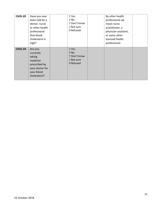| CHOL.02 | Have you ever<br>been told by a<br>doctor, nurse<br>or other health<br>professional<br>that blood<br>cholesterol is<br>high? | 1 Yes<br>2 No<br>7 Don't know<br>/ Not sure<br>9 Refused | By other health<br>professional we<br>mean nurse<br>practitioner, a<br>physician assistant,<br>or some other<br>licensed health<br>professional. |  |
|---------|------------------------------------------------------------------------------------------------------------------------------|----------------------------------------------------------|--------------------------------------------------------------------------------------------------------------------------------------------------|--|
| CHOL.03 | Are you<br>currently<br>taking<br>medicine<br>prescribed by<br>your doctor for<br>your blood<br>cholesterol?                 | 1 Yes<br>2 No<br>7 Don't know<br>/ Not sure<br>9 Refused |                                                                                                                                                  |  |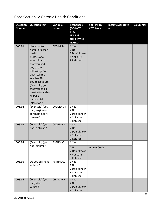#### Core Section 6: Chronic Health Conditions

| <b>Question</b> | <b>Question text</b>                                                                                                                                                                                                                                                               | Variable        | <b>Responses</b>                                            | <b>SKIP INFO/</b> | <b>Interviewer Note</b> | Column(s) |
|-----------------|------------------------------------------------------------------------------------------------------------------------------------------------------------------------------------------------------------------------------------------------------------------------------------|-----------------|-------------------------------------------------------------|-------------------|-------------------------|-----------|
| <b>Number</b>   |                                                                                                                                                                                                                                                                                    | names           | (DO NOT<br><b>READ</b><br><b>UNLESS</b><br><b>OTHERWISE</b> | <b>CATI Note</b>  | (s)                     |           |
|                 |                                                                                                                                                                                                                                                                                    |                 | <b>NOTED)</b>                                               |                   |                         |           |
| C06.01          | Has a doctor,<br>nurse, or other<br>health<br>professional<br>ever told you<br>that you had<br>any of the<br>following? For<br>each, tell me<br>Yes, No, Or<br>You're Not Sure.<br>(Ever told) you<br>that you had a<br>heart attack also<br>called a<br>myocardial<br>infarction? | <b>CVDINFR4</b> | 1 Yes<br>2 No<br>7 Don't know<br>/ Not sure<br>9 Refused    |                   |                         |           |
| C06.02          | (Ever told) (you<br>had) angina or<br>coronary heart<br>disease?                                                                                                                                                                                                                   | CVDCRHD4        | 1 Yes<br>2 No<br>7 Don't know<br>/ Not sure<br>9 Refused    |                   |                         |           |
| C06.03          | (Ever told) (you<br>had) a stroke?                                                                                                                                                                                                                                                 | CVDSTRK3        | 1 Yes<br>$2$ No<br>7 Don't know<br>/ Not sure<br>9 Refused  |                   |                         |           |
| C06.04          | (Ever told) (you<br>had) asthma?                                                                                                                                                                                                                                                   | ASTHMA3         | 1 Yes<br>2 No<br>7 Don't know<br>/ Not sure<br>9 Refused    | Go to C06.06      |                         |           |
| C06.05          | Do you still have<br>asthma?                                                                                                                                                                                                                                                       | <b>ASTHNOW</b>  | 1 Yes<br>2 No<br>7 Don't know<br>/ Not sure<br>9 Refused    |                   |                         |           |
| C06.06          | (Ever told) (you<br>had) skin<br>cancer?                                                                                                                                                                                                                                           | <b>CHCSCNCR</b> | 1 Yes<br>2 No<br>7 Don't know<br>/ Not sure                 |                   |                         |           |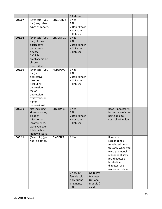|        |                                     |                 | 9 Refused    |                 |                     |  |
|--------|-------------------------------------|-----------------|--------------|-----------------|---------------------|--|
| C06.07 | (Ever told) (you                    | <b>CHCOCNCR</b> | 1 Yes        |                 |                     |  |
|        | had) any other                      |                 | 2 No         |                 |                     |  |
|        | types of cancer?                    |                 | 7 Don't know |                 |                     |  |
|        |                                     |                 | / Not sure   |                 |                     |  |
|        |                                     |                 | 9 Refused    |                 |                     |  |
| C06.08 | (Ever told) (you                    | CHCCOPD1        | 1 Yes        |                 |                     |  |
|        | had) chronic                        |                 | $2$ No       |                 |                     |  |
|        | obstructive                         |                 | 7 Don't know |                 |                     |  |
|        | pulmonary                           |                 | / Not sure   |                 |                     |  |
|        | disease,                            |                 | 9 Refused    |                 |                     |  |
|        | C. O. P. D.,                        |                 |              |                 |                     |  |
|        | emphysema or                        |                 |              |                 |                     |  |
|        | chronic                             |                 |              |                 |                     |  |
| C06.09 | bronchitis?                         | ADDEPEV2        | 1 Yes        |                 |                     |  |
|        | (Ever told) (you<br>had) a          |                 | 2 No         |                 |                     |  |
|        | depressive                          |                 | 7 Don't know |                 |                     |  |
|        | disorder                            |                 | / Not sure   |                 |                     |  |
|        | (including                          |                 | 9 Refused    |                 |                     |  |
|        | depression,                         |                 |              |                 |                     |  |
|        | major                               |                 |              |                 |                     |  |
|        | depression,                         |                 |              |                 |                     |  |
|        | dysthymia, or                       |                 |              |                 |                     |  |
|        | minor                               |                 |              |                 |                     |  |
|        | depression)?                        |                 |              |                 |                     |  |
| C06.10 | Not including                       | CHCKDNY1        | 1 Yes        |                 | Read if necessary:  |  |
|        | kidney stones,                      |                 | $2$ No       |                 | Incontinence is not |  |
|        | bladder                             |                 | 7 Don't know |                 | being able to       |  |
|        | infection or                        |                 | / Not sure   |                 | control urine flow. |  |
|        | incontinence,                       |                 | 9 Refused    |                 |                     |  |
|        | were you ever                       |                 |              |                 |                     |  |
|        | told you have                       |                 |              |                 |                     |  |
| C06.11 | kidney disease?<br>(Ever told) (you | DIABETE3        | 1 Yes        |                 | If yes and          |  |
|        | had) diabetes?                      |                 |              |                 | respondent is       |  |
|        |                                     |                 |              |                 | female, ask: was    |  |
|        |                                     |                 |              |                 | this only when you  |  |
|        |                                     |                 |              |                 | were pregnant? If   |  |
|        |                                     |                 |              |                 | respondent says     |  |
|        |                                     |                 |              |                 | pre-diabetes or     |  |
|        |                                     |                 |              |                 | borderline          |  |
|        |                                     |                 |              |                 | diabetes, use       |  |
|        |                                     |                 |              |                 | response code 4.    |  |
|        |                                     |                 | 2 Yes, but   | Go to Pre-      |                     |  |
|        |                                     |                 | female told  | <b>Diabetes</b> |                     |  |
|        |                                     |                 | only during  | Optional        |                     |  |
|        |                                     |                 | pregnancy    | Module (if      |                     |  |
|        |                                     |                 | 3 No         | used).          |                     |  |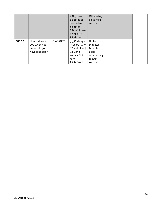|        |                |          | 4 No, pre-       | Otherwise,      |  |
|--------|----------------|----------|------------------|-----------------|--|
|        |                |          | diabetes or      | go to next      |  |
|        |                |          | borderline       | section.        |  |
|        |                |          | diabetes         |                 |  |
|        |                |          | 7 Don't know     |                 |  |
|        |                |          | / Not sure       |                 |  |
|        |                |          | 9 Refused        |                 |  |
| C06.12 | How old were   | DIABAGE2 | Code age         | Go to           |  |
|        | you when you   |          | in years $[97 =$ | <b>Diabetes</b> |  |
|        | were told you  |          | 97 and older]    | Module if       |  |
|        | have diabetes? |          | 98 Don't         | used,           |  |
|        |                |          | know / Not       | otherwise go    |  |
|        |                |          | sure             | to next         |  |
|        |                |          | 99 Refused       | section.        |  |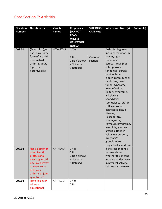#### Core Section 7: Arthritis

| <b>Question</b><br><b>Number</b> | <b>Question text</b>                                                                                                                                     | Variable<br>names | <b>Responses</b><br>(DO NOT                                       | <b>SKIP INFO/</b><br><b>CATI Note</b> | <b>Interviewer Note (s)</b>                                                                                                                                                                                                                                                                                                                                                                                                                                                                              | Column(s) |
|----------------------------------|----------------------------------------------------------------------------------------------------------------------------------------------------------|-------------------|-------------------------------------------------------------------|---------------------------------------|----------------------------------------------------------------------------------------------------------------------------------------------------------------------------------------------------------------------------------------------------------------------------------------------------------------------------------------------------------------------------------------------------------------------------------------------------------------------------------------------------------|-----------|
|                                  |                                                                                                                                                          |                   | <b>READ</b><br><b>UNLESS</b><br><b>OTHERWISE</b><br><b>NOTED)</b> |                                       |                                                                                                                                                                                                                                                                                                                                                                                                                                                                                                          |           |
| C07.01                           | (Ever told) (you<br>had) have some<br>form of arthritis,                                                                                                 | HAVARTH3          | 1 Yes<br>$2$ No                                                   | Go to next                            | Arthritis diagnoses<br>include: rheumatism,<br>polymyalgia                                                                                                                                                                                                                                                                                                                                                                                                                                               |           |
|                                  | rheumatoid<br>arthritis, gout,<br>lupus, or<br>fibromyalgia?                                                                                             |                   | 7 Don't know<br>/ Not sure<br>9 Refused                           | section                               | rheumatic,<br>osteoarthritis (not<br>osteoporosis),<br>tendonitis, bursitis,<br>bunion, tennis<br>elbow, carpal tunnel<br>syndrome, tarsal<br>tunnel syndrome,<br>joint infection,<br>Reiter's syndrome,<br>ankylosing<br>spondylitis;<br>spondylosis, rotator<br>cuff syndrome,<br>connective tissue<br>disease,<br>scleroderma,<br>polymyositis,<br>Raynaud's syndrome,<br>vasculitis, giant cell<br>arteritis, Henoch-<br>Schonlein purpura,<br>Wegener's<br>granulomatosis,<br>polyarteritis nodosa) |           |
| C07.02                           | Has a doctor or<br>other health<br>professional<br>ever suggested<br>physical activity<br>or exercise to<br>help your<br>arthritis or joint<br>symptoms? | <b>ARTHEXER</b>   | 1 Yes<br>$2$ No<br>7 Don't know<br>/ Not sure<br>9 Refused        |                                       | If the respondent is<br>unclear about<br>whether this means<br>increase or decrease<br>in physical activity,<br>this means increase.                                                                                                                                                                                                                                                                                                                                                                     |           |
| C07.03                           | Have you ever<br>taken an<br>educational                                                                                                                 | ARTHEDU           | 1 Yes<br>2 No                                                     |                                       |                                                                                                                                                                                                                                                                                                                                                                                                                                                                                                          |           |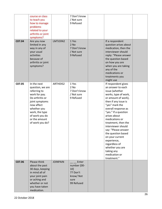|        | course or class<br>to teach you<br>how to manage<br>problems<br>related to your<br>arthritis or joint<br>symptoms?                                                                                         |                 | 7 Don't know<br>/ Not sure<br>9 Refused                                   |                                                                                                                                                                                                                                                                                                                                                                                                                                                    |  |
|--------|------------------------------------------------------------------------------------------------------------------------------------------------------------------------------------------------------------|-----------------|---------------------------------------------------------------------------|----------------------------------------------------------------------------------------------------------------------------------------------------------------------------------------------------------------------------------------------------------------------------------------------------------------------------------------------------------------------------------------------------------------------------------------------------|--|
| C07.04 | Are you now<br>limited in any<br>way in any of<br>your usual<br>activities<br>because of<br>arthritis or joint<br>symptoms?                                                                                | LMTJOIN2        | 1 Yes<br>2 No<br>7 Don't know<br>/ Not sure<br>9 Refused                  | If a respondent<br>question arises about<br>medication, then the<br>interviewer should<br>reply: "Please answer<br>the question based<br>on how you are<br>when you are taking<br>any of the<br>medications or<br>treatments you<br>might use                                                                                                                                                                                                      |  |
| C07.05 | In the next<br>question, we are<br>referring to<br>work for pay.<br>Do arthritis or<br>joint symptoms<br>now affect<br>whether you<br>work, the type<br>of work you do<br>or the amount<br>of work you do? | <b>ARTHDIS2</b> | 1 Yes<br>2 No<br>7 Don't know<br>/ Not sure<br>9 Refused                  | If respondent gives<br>an answer to each<br>issue (whether<br>works, type of work,<br>or amount of work),<br>then if any issue is<br>"yes" mark the<br>overall response as<br>"yes." If a question<br>arises about<br>medications or<br>treatment, then the<br>interviewer should<br>say: "Please answer<br>the question based<br>on your current<br>experience,<br>regardless of<br>whether you are<br>taking any<br>medication or<br>treatment." |  |
| C07.06 | Please think<br>about the past<br>30 days, keeping<br>in mind all of<br>your joint pain<br>or aching and<br>whether or not<br>you have taken<br>medication.                                                | <b>JOINPAIN</b> | Enter<br>number [00-<br>10]<br>77 Don't<br>know/Not<br>sure<br>99 Refused |                                                                                                                                                                                                                                                                                                                                                                                                                                                    |  |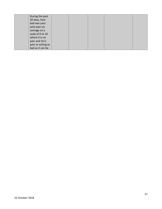| During the past   |  |  |  |
|-------------------|--|--|--|
| 30 days, how      |  |  |  |
| bad was your      |  |  |  |
| joint pain on     |  |  |  |
| average on a      |  |  |  |
| scale of 0 to 10  |  |  |  |
| where 0 is no     |  |  |  |
| pain and 10 is    |  |  |  |
| pain or aching as |  |  |  |
| bad as it can be. |  |  |  |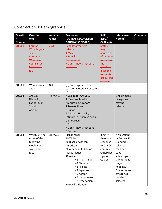# Core Section 8: Demographics

| <b>Questio</b><br>n | <b>Question</b><br>text                                                                       | Variable<br>names | <b>Responses</b><br>(DO NOT READ UNLESS                                                                                                                                                                                                                 | <b>SKIP</b><br>INFO/                                                                                                                  | <b>Interviewer</b><br>Note (s)                                                                                                                                                           | Column(s |
|---------------------|-----------------------------------------------------------------------------------------------|-------------------|---------------------------------------------------------------------------------------------------------------------------------------------------------------------------------------------------------------------------------------------------------|---------------------------------------------------------------------------------------------------------------------------------------|------------------------------------------------------------------------------------------------------------------------------------------------------------------------------------------|----------|
| <b>Number</b>       |                                                                                               |                   | <b>OTHERWISE NOTED)</b>                                                                                                                                                                                                                                 | <b>CATI Note</b>                                                                                                                      |                                                                                                                                                                                          |          |
| C08.01              | Format 1:<br>What is your<br>sex?<br>Format 2:<br>What was<br>your sex at<br>birth? Was<br>it | SEX <sub>1</sub>  | Read if format 2 is<br>selected:<br>1-Male<br>2 Female<br>Do not read:<br>7 Don't know / Not sure<br>9 Refused                                                                                                                                          | <b>States</b><br>may<br>adopt one<br>of the two<br>formats of<br>the<br>question.<br>If second<br>format is<br>used, read<br>options. |                                                                                                                                                                                          |          |
| C08.01              | What is your<br>age?                                                                          | AGE               | __ Code age in years<br>07 Don't know / Not sure<br>09 Refused                                                                                                                                                                                          |                                                                                                                                       |                                                                                                                                                                                          |          |
| C08.02              | Are you<br>Hispanic,<br>Latino/a, or<br>Spanish<br>origin?                                    | HISPANC3          | If yes, read: Are you<br>1 Mexican, Mexican<br>American, Chicano/a<br>2 Puerto Rican<br>3 Cuban<br>4 Another Hispanic,<br>Latino/a, or Spanish origin<br>Do not read:<br>5 No<br>7 Don't know / Not sure<br>9 Refused                                   |                                                                                                                                       | One or more<br>categories<br>may be<br>selected.                                                                                                                                         |          |
| C08.03              | Which one or<br>more of the<br>following<br>would you<br>say is your<br>race?                 | MRACE1            | Please read:<br>10 White<br>20 Black or African<br>American<br>30 American Indian or<br>Alaska Native<br>40 Asian<br>41 Asian Indian<br>42 Chinese<br>43 Filipino<br>44 Japanese<br>45 Korean<br>46 Vietnamese<br>47 Other Asian<br>50 Pacific Islander | If more<br>than one<br>response<br>to C08.04;<br>continue.<br>Otherwise<br>, go to<br>C08.06.                                         | If 40 (Asian)<br>or 50 (Pacific<br>Islander) is<br>selected<br>read and<br>code<br>subcategorie<br>s underneath<br>major<br>heading.<br>One or more<br>categories<br>may be<br>selected. |          |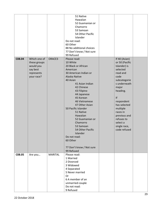|        |                                                                                   |                | 51 Native<br>Hawaiian<br>52 Guamanian or<br>Chamorro<br>53 Samoan<br>54 Other Pacific<br>Islander<br>Do not read:<br>60 Other<br>88 No additional choices<br>77 Don't know / Not sure<br>99 Refused                                                                                                                                                                                                                                       |                                                                                                                                                                                                                                                                            |  |
|--------|-----------------------------------------------------------------------------------|----------------|-------------------------------------------------------------------------------------------------------------------------------------------------------------------------------------------------------------------------------------------------------------------------------------------------------------------------------------------------------------------------------------------------------------------------------------------|----------------------------------------------------------------------------------------------------------------------------------------------------------------------------------------------------------------------------------------------------------------------------|--|
| C08.04 | Which one of<br>these groups<br>would you<br>say best<br>represents<br>your race? | ORACE3         | Please read:<br>10 White<br>20 Black or African<br>American<br>30 American Indian or<br>Alaska Native<br>40 Asian<br>41 Asian Indian<br>42 Chinese<br>43 Filipino<br>44 Japanese<br>45 Korean<br>46 Vietnamese<br>47 Other Asian<br>50 Pacific Islander<br>51 Native<br>Hawaiian<br>52 Guamanian or<br>Chamorro<br>53 Samoan<br>54 Other Pacific<br><b>Islander</b><br>Do not read:<br>60 Other<br>77 Don't know / Not sure<br>99 Refused | If 40 (Asian)<br>or 50 (Pacific<br>Islander) is<br>selected<br>read and<br>code<br>subcategorie<br>s underneath<br>major<br>heading.<br>If<br>respondent<br>has selected<br>multiple<br>races in<br>previous and<br>refuses to<br>select a<br>single race,<br>code refused |  |
| C08.05 | Are you                                                                           | <b>MARITAL</b> | Please read:<br>1 Married<br>2 Divorced<br>3 Widowed<br>4 Separated<br>5 Never married<br>Or<br>6 A member of an<br>unmarried couple<br>Do not read:<br>9 Refused                                                                                                                                                                                                                                                                         |                                                                                                                                                                                                                                                                            |  |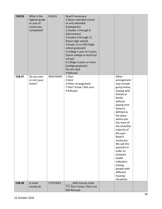| C08.06        | What is the<br>highest grade<br>or year of<br>school you<br>completed? | <b>EDUCA</b> | Read if necessary:<br>1 Never attended school<br>or only attended<br>kindergarten<br>2 Grades 1 through 8<br>(Elementary)<br>3 Grades 9 through 11<br>(Some high school)<br>4 Grade 12 or GED (High |                                                                                                                                                                                                                                                                                                                                                                                                           |  |
|---------------|------------------------------------------------------------------------|--------------|-----------------------------------------------------------------------------------------------------------------------------------------------------------------------------------------------------|-----------------------------------------------------------------------------------------------------------------------------------------------------------------------------------------------------------------------------------------------------------------------------------------------------------------------------------------------------------------------------------------------------------|--|
|               |                                                                        |              | school graduate)<br>5 College 1 year to 3 years<br>(Some college or technical<br>school)<br>6 College 4 years or more<br>(College graduate)<br>Do not read:<br>9 Refused                            |                                                                                                                                                                                                                                                                                                                                                                                                           |  |
| C08.07        | Do you own<br>or rent your<br>home?                                    | RENTHOM1     | 1 Own<br>2 Rent<br>3 Other arrangement<br>7 Don't know / Not sure<br>9 Refused                                                                                                                      | Other<br>arrangement<br>may include<br>group home,<br>staying with<br>friends or<br>family<br>without<br>paying rent.<br>Home is<br>defined as<br>the place<br>where you<br>live most of<br>the time/the<br>majority of<br>the year.<br>Read if<br>necessary:<br>We ask this<br>question in<br>order to<br>compare<br>health<br>indicators<br>among<br>people with<br>different<br>housing<br>situations. |  |
| <b>C08.08</b> | In what<br>county do                                                   | CTYCODE2     | <b>ANSI County Code</b><br>777 Don't know / Not sure<br>999 Refused                                                                                                                                 |                                                                                                                                                                                                                                                                                                                                                                                                           |  |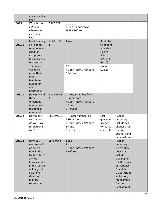|        | you currently<br>live?                                                                                                                                                                            |                     |                                                                                       |                                                                               |                                                                                                                                                                                                            |  |
|--------|---------------------------------------------------------------------------------------------------------------------------------------------------------------------------------------------------|---------------------|---------------------------------------------------------------------------------------|-------------------------------------------------------------------------------|------------------------------------------------------------------------------------------------------------------------------------------------------------------------------------------------------------|--|
| C08.9  | What is the<br>ZIP Code<br>where you<br>currently<br>live?                                                                                                                                        | ZIPCODE1            | 77777 Do not know<br>99999 Refused                                                    |                                                                               |                                                                                                                                                                                                            |  |
| C08.10 | Not including<br>cell phones<br>or numbers<br>used for<br>computers,<br>fax machines<br>or security                                                                                               | <b>NUMHHOL</b><br>3 | 1 Yes                                                                                 | If cellular<br>telephone<br>interview<br>skip to<br>8.14<br>(QSTVER<br>GE 20) |                                                                                                                                                                                                            |  |
|        | systems, do<br>you have<br>more than<br>one<br>telephone<br>number in<br>your<br>household?                                                                                                       |                     | 2 No<br>7 Don't know / Not sure<br>9 Refused                                          | Go to<br>C08.13                                                               |                                                                                                                                                                                                            |  |
| C08.11 | How many of<br>these<br>telephone<br>numbers are<br>residential<br>numbers?                                                                                                                       | <b>NUMPHON</b><br>3 | Enter number (1-5)<br>6 Six or more<br>7 Don't know / Not sure<br>8 None<br>9 Refused |                                                                               |                                                                                                                                                                                                            |  |
| C08.12 | How many<br>cell phones<br>do you have<br>for personal<br>use?                                                                                                                                    | CPDEMO1B            | Enter number (1-5)<br>6 Six or more<br>7 Don't know / Not sure<br>8 None<br>9 Refused | Last<br>question<br>needed<br>for partial<br>complete.                        | Read if<br>necessary:<br>Include cell<br>phones used<br>for both<br>business and<br>personal use.                                                                                                          |  |
| C08.13 | Have you<br>ever served<br>on active<br>duty in the<br><b>United States</b><br>Armed<br>Forces, either<br>in the regular<br>military or in<br>a National<br>Guard or<br>military<br>reserve unit? | <b>VETERAN3</b>     | 1 Yes<br>$2$ No<br>7 Don't know / Not sure<br>9 Refused                               |                                                                               | Read if<br>necessary:<br>Active duty<br>does not<br>include<br>training for<br>the Reserves<br>or National<br>Guard, but<br>DOES include<br>activation,<br>for example,<br>for the<br>Persian Gulf<br>War. |  |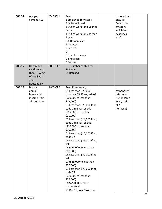| C08.14 | Are you<br>currently?                                                              | EMPLOY1         | Read:<br>1 Employed for wages<br>2 Self-employed<br>3 Out of work for 1 year or<br>more<br>4 Out of work for less than<br>1 year<br>5 A Homemaker<br>6 A Student<br>7 Retired<br>Or<br>8 Unable to work<br>Do not read:<br>9 Refused                                                                                                                                                                                                                                                                                                                                                                                                                                                          | If more than<br>one, say<br>"select the<br>category<br>which best<br>describes<br>you". |  |
|--------|------------------------------------------------------------------------------------|-----------------|-----------------------------------------------------------------------------------------------------------------------------------------------------------------------------------------------------------------------------------------------------------------------------------------------------------------------------------------------------------------------------------------------------------------------------------------------------------------------------------------------------------------------------------------------------------------------------------------------------------------------------------------------------------------------------------------------|-----------------------------------------------------------------------------------------|--|
| C08.15 | How many<br>children less<br>than 18 years<br>of age live in<br>your<br>household? | <b>CHILDREN</b> | Number of children<br>88 None<br>99 Refused                                                                                                                                                                                                                                                                                                                                                                                                                                                                                                                                                                                                                                                   |                                                                                         |  |
| C08.16 | Is your<br>annual<br>household<br>income from<br>all sources-                      | <b>INCOME2</b>  | Read if necessary:<br>04 Less than \$25,000<br>If no, ask 05; if yes, ask 03<br>(\$20,000 to less than<br>\$25,000<br>03 Less than \$20,000 If no,<br>code 04; if yes, ask 02<br>(\$15,000 to less than<br>\$20,000<br>02 Less than \$15,000 If no,<br>code 03; if yes, ask 01<br>(\$10,000 to less than<br>$$15,000$ )<br>01 Less than \$10,000 If no,<br>code 02<br>05 Less than \$35,000 If no,<br>ask<br>06 (\$25,000 to less than<br>$$35,000$ )<br>06 Less than \$50,000 If no,<br>ask<br>07 (\$35,000 to less than<br>\$50,000)<br>07 Less than \$75,000 If no,<br>code 08<br>(\$50,000 to less than<br>$$75,000$ )<br>08 \$75,000 or more<br>Do not read:<br>77 Don't know / Not sure | If<br>respondent<br>refuses at<br>ANY income<br>level, code<br>'99'<br>(Refused)        |  |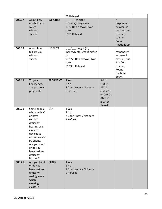|        |                                                                                                                                                                                                              |              | 99 Refused                                                                                                     |                                                                                          |                                                                                                       |  |
|--------|--------------------------------------------------------------------------------------------------------------------------------------------------------------------------------------------------------------|--------------|----------------------------------------------------------------------------------------------------------------|------------------------------------------------------------------------------------------|-------------------------------------------------------------------------------------------------------|--|
| C08.17 | About how<br>much do you<br>weigh<br>without<br>shoes?                                                                                                                                                       | WEIGHT2      | Weight<br>(pounds/kilograms)<br>7777 Don't know / Not<br>sure<br>9999 Refused                                  |                                                                                          | f <br>respondent<br>answers in<br>metrics, put<br>9 in first<br>column.<br>Round<br>fractions up      |  |
| C08.18 | About how<br>tall are you<br>without<br>shoes?                                                                                                                                                               | HEIGHT3      | $_{-}/_{--}$ Height (ft /<br>inches/meters/centimeter<br>s)<br>77/77 Don't know / Not<br>sure<br>99/99 Refused |                                                                                          | f <br>respondent<br>answers in<br>metrics, put<br>9 in first<br>column.<br>Round<br>fractions<br>down |  |
| C08.19 | To your<br>knowledge,<br>are you now<br>pregnant?                                                                                                                                                            | PREGNANT     | 1 Yes<br>2 No<br>7 Don't know / Not sure<br>9 Refused                                                          | Skip if<br>C08.01,<br>SEX, is<br>coded 1;<br>or C08.02,<br>AGE, is<br>greater<br>than 49 |                                                                                                       |  |
| C08.20 | Some people<br>who are deaf<br>or have<br>serious<br>difficulty<br>hearing use<br>assistive<br>devices to<br>communicate<br>by phone.<br>Are you deaf<br>or do you<br>have serious<br>difficulty<br>hearing? | <b>DEAF</b>  | 1 Yes<br>2 No<br>7 Don't know / Not sure<br>9 Refused                                                          |                                                                                          |                                                                                                       |  |
| C08.21 | Are you blind<br>or do you<br>have serious<br>difficulty<br>seeing, even<br>when<br>wearing<br>glasses?                                                                                                      | <b>BLIND</b> | 1 Yes<br>$2$ No<br>7 Don't know / Not sure<br>9 Refused                                                        |                                                                                          |                                                                                                       |  |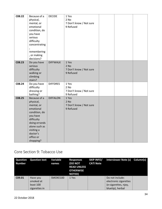| C08.22 | Because of a  | <b>DECIDE</b>   | 1 Yes                   |  |  |
|--------|---------------|-----------------|-------------------------|--|--|
|        | physical,     |                 | 2 No                    |  |  |
|        | mental, or    |                 | 7 Don't know / Not sure |  |  |
|        | emotional     |                 | 9 Refused               |  |  |
|        | condition, do |                 |                         |  |  |
|        | you have      |                 |                         |  |  |
|        | serious       |                 |                         |  |  |
|        | difficulty    |                 |                         |  |  |
|        |               |                 |                         |  |  |
|        | concentrating |                 |                         |  |  |
|        |               |                 |                         |  |  |
|        | remembering   |                 |                         |  |  |
|        | , or making   |                 |                         |  |  |
|        | decisions?    |                 |                         |  |  |
| C08.23 | Do you have   | <b>DIFFWALK</b> | 1 Yes                   |  |  |
|        | serious       |                 | $2$ No                  |  |  |
|        | difficulty    |                 | 7 Don't know / Not sure |  |  |
|        | walking or    |                 | 9 Refused               |  |  |
|        | climbing      |                 |                         |  |  |
|        | stairs?       |                 |                         |  |  |
| C08.24 | Do you have   | <b>DIFFDRES</b> | 1 Yes                   |  |  |
|        | difficulty    |                 | 2 No                    |  |  |
|        | dressing or   |                 | 7 Don't know / Not sure |  |  |
|        | bathing?      |                 | 9 Refused               |  |  |
| C08.25 | Because of a  | <b>DIFFALON</b> | 1 Yes                   |  |  |
|        | physical,     |                 | $2$ No                  |  |  |
|        | mental, or    |                 | 7 Don't know / Not sure |  |  |
|        | emotional     |                 | 9 Refused               |  |  |
|        | condition, do |                 |                         |  |  |
|        | you have      |                 |                         |  |  |
|        | difficulty    |                 |                         |  |  |
|        | doing errands |                 |                         |  |  |
|        | alone such as |                 |                         |  |  |
|        | visiting a    |                 |                         |  |  |
|        | doctor's      |                 |                         |  |  |
|        | office or     |                 |                         |  |  |
|        | shopping?     |                 |                         |  |  |

#### Core Section 9: Tobacco Use

| <b>Question</b><br><b>Number</b> | <b>Question text</b>                                | Variable<br>names | <b>Responses</b><br><b>(DO NOT</b><br><b>READ UNLESS</b><br><b>OTHERWISE</b><br><b>NOTED)</b> | <b>SKIP INFO/</b><br><b>CATI Note</b> | Interviewer Note (s) Column(s)                                                       |  |
|----------------------------------|-----------------------------------------------------|-------------------|-----------------------------------------------------------------------------------------------|---------------------------------------|--------------------------------------------------------------------------------------|--|
| C <sub>09.01</sub>               | Have you<br>smoked at<br>least 100<br>cigarettes in | SMOKE100          | 1 Yes                                                                                         |                                       | Do not include:<br>electronic cigarettes<br>(e-cigarettes, njoy,<br>bluetip), herbal |  |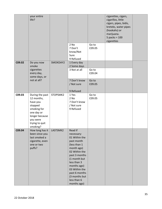|        | your entire<br>life?                                                                                                                          |          |                                                                                                                                                                                                                                                     |                 | cigarettes, cigars,<br>cigarillos, little<br>cigars, pipes, bidis,<br>kreteks, water pipes<br>(hookahs) or<br>marijuana.<br>5 packs = $100$<br>cigarettes |  |
|--------|-----------------------------------------------------------------------------------------------------------------------------------------------|----------|-----------------------------------------------------------------------------------------------------------------------------------------------------------------------------------------------------------------------------------------------------|-----------------|-----------------------------------------------------------------------------------------------------------------------------------------------------------|--|
|        |                                                                                                                                               |          | 2 No<br>7 Don't<br>know/Not<br>Sure<br>9 Refused                                                                                                                                                                                                    | Go to<br>C09.05 |                                                                                                                                                           |  |
| C09.02 | Do you now<br>smoke                                                                                                                           | SMOKDAY2 | 1 Every day<br>2 Some days                                                                                                                                                                                                                          |                 |                                                                                                                                                           |  |
|        | cigarettes<br>every day,<br>some days, or                                                                                                     |          | 3 Not at all                                                                                                                                                                                                                                        | Go to<br>C09.04 |                                                                                                                                                           |  |
|        | not at all?                                                                                                                                   |          | 7 Don't know<br>/ Not sure<br>9 Refused                                                                                                                                                                                                             | Go to<br>C09.05 |                                                                                                                                                           |  |
| C09.03 | During the past<br>12 months,<br>have you<br>stopped<br>smoking for<br>one day or<br>longer because<br>you were<br>trying to quit<br>smoking? | STOPSMK2 | 1 Yes<br>2 No<br>7 Don't know<br>/ Not sure<br>9 Refused                                                                                                                                                                                            | Go to<br>C09.05 |                                                                                                                                                           |  |
| C09.04 | How long has it<br>been since you<br>last smoked a<br>cigarette, even<br>one or two<br>puffs?                                                 | LASTSMK2 | Read if<br>necessary:<br>01 Within the<br>past month<br>(less than 1<br>month ago)<br>02 Within the<br>past 3 months<br>(1 month but<br>less than 3<br>months ago)<br>03 Within the<br>past 6 months<br>(3 months but<br>less than 6<br>months ago) |                 |                                                                                                                                                           |  |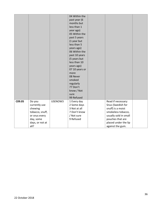|        |                            |         | 04 Within the<br>past year (6 |                                         |  |
|--------|----------------------------|---------|-------------------------------|-----------------------------------------|--|
|        |                            |         | months but                    |                                         |  |
|        |                            |         | less than 1                   |                                         |  |
|        |                            |         | year ago)                     |                                         |  |
|        |                            |         | 05 Within the                 |                                         |  |
|        |                            |         | past 5 years                  |                                         |  |
|        |                            |         | (1 year but                   |                                         |  |
|        |                            |         | less than 5                   |                                         |  |
|        |                            |         | years ago)                    |                                         |  |
|        |                            |         | 06 Within the                 |                                         |  |
|        |                            |         | past 10 years                 |                                         |  |
|        |                            |         | (5 years but                  |                                         |  |
|        |                            |         | less than 10                  |                                         |  |
|        |                            |         | years ago)                    |                                         |  |
|        |                            |         | 07 10 years or                |                                         |  |
|        |                            |         | more                          |                                         |  |
|        |                            |         | 08 Never                      |                                         |  |
|        |                            |         | smoked                        |                                         |  |
|        |                            |         | regularly                     |                                         |  |
|        |                            |         | 77 Don't                      |                                         |  |
|        |                            |         | know / Not                    |                                         |  |
|        |                            |         | sure                          |                                         |  |
|        |                            |         | 99 Refused                    |                                         |  |
| C09.05 | Do you                     | USENOW3 | 1 Every day                   | Read if necessary:                      |  |
|        | currently use              |         | 2 Some days<br>3 Not at all   | Snus (Swedish for                       |  |
|        | chewing<br>tobacco, snuff, |         | 7 Don't know                  | snuff) is a moist<br>smokeless tobacco, |  |
|        |                            |         | / Not sure                    | usually sold in small                   |  |
|        | or snus every<br>day, some |         | 9 Refused                     | pouches that are                        |  |
|        | days, or not at            |         |                               | placed under the lip                    |  |
|        |                            |         |                               |                                         |  |
|        | all?                       |         |                               | against the gum.                        |  |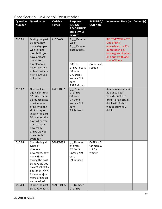# Core Section 10: Alcohol Consumption

| <b>Question</b>    | <b>Question text</b>  | <b>Variable</b> | <b>Responses</b>         | <b>SKIP INFO/</b>       | <b>Interviewer Note (s)</b> | Column(s) |
|--------------------|-----------------------|-----------------|--------------------------|-------------------------|-----------------------------|-----------|
| <b>Number</b>      |                       | names           | (DO NOT                  | <b>CATI Note</b>        |                             |           |
|                    |                       |                 | <b>READ UNLESS</b>       |                         |                             |           |
|                    |                       |                 | <b>OTHERWISE</b>         |                         |                             |           |
|                    |                       |                 | <b>NOTED)</b>            |                         |                             |           |
| C <sub>10.01</sub> | During the past       | ALCDAY5         | 1 <sub>_</sub> _Days per |                         | <b>INTERVIEWER NOTE:</b>    |           |
|                    | 30 days, how          |                 | week                     |                         | One drink is                |           |
|                    | many days per         |                 | $2 -$ Days in            |                         | equivalent to a 12-         |           |
|                    | week or per           |                 | past 30 days             |                         | ounce beer, a 5-            |           |
|                    | month did you         |                 |                          |                         | ounce glass of wine,        |           |
|                    | have at least         |                 |                          |                         | or a drink with one         |           |
|                    | one drink of          |                 |                          |                         | shot of liquor.             |           |
|                    | any alcoholic         |                 | 888 No                   | Go to next              |                             |           |
|                    | beverage such         |                 | drinks in past           | section                 |                             |           |
|                    | as beer, wine, a      |                 | 30 days                  |                         |                             |           |
|                    | malt beverage         |                 | 777 Don't                |                         |                             |           |
|                    | or liquor?            |                 | know / Not               |                         |                             |           |
|                    |                       |                 | sure                     |                         |                             |           |
|                    |                       |                 | 999 Refused              |                         |                             |           |
| C10.02             | One drink is          | <b>AVEDRNK2</b> | Number                   |                         | Read if necessary: A        |           |
|                    | equivalent to a       |                 | of drinks                |                         | 40 ounce beer               |           |
|                    | 12-ounce beer,        |                 | 88 None                  |                         | would count as 3            |           |
|                    | a 5-ounce glass       |                 | 77 Don't                 |                         | drinks, or a cocktail       |           |
|                    | of wine, or a         |                 | know / Not               |                         | drink with 2 shots          |           |
|                    | drink with one        |                 | sure                     |                         | would count as 2            |           |
|                    | shot of liquor.       |                 | 99 Refused               |                         | drinks.                     |           |
|                    | During the past       |                 |                          |                         |                             |           |
|                    | 30 days, on the       |                 |                          |                         |                             |           |
|                    | days when you         |                 |                          |                         |                             |           |
|                    | drank, about          |                 |                          |                         |                             |           |
|                    | how many              |                 |                          |                         |                             |           |
|                    | drinks did you        |                 |                          |                         |                             |           |
|                    | drink on the          |                 |                          |                         |                             |           |
|                    | average?              |                 |                          |                         |                             |           |
| C10.03             | Considering all       | DRNK3GE5        | _ _ Number<br>of times   | CATI $X = 5$            |                             |           |
|                    | types of<br>alcoholic |                 | 77 Don't                 | for men, X<br>$= 4$ for |                             |           |
|                    | beverages, how        |                 | know / Not               | women                   |                             |           |
|                    | many times            |                 | sure                     |                         |                             |           |
|                    | during the past       |                 | 99 Refused               |                         |                             |           |
|                    | 30 days did you       |                 |                          |                         |                             |           |
|                    | have $X$ [CATI $X =$  |                 |                          |                         |                             |           |
|                    | 5 for men, $X = 4$    |                 |                          |                         |                             |           |
|                    | for women] or         |                 |                          |                         |                             |           |
|                    | more drinks on        |                 |                          |                         |                             |           |
|                    | an occasion?          |                 |                          |                         |                             |           |
| C10.04             | During the past       | <b>MAXDRNKS</b> | Number                   |                         |                             |           |
|                    | 30 days, what is      |                 | of drinks                |                         |                             |           |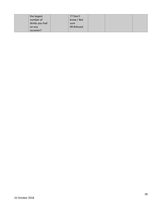| the largest    | 77 Don't   |  |  |
|----------------|------------|--|--|
| number of      | know / Not |  |  |
| drinks you had | sure       |  |  |
| on any         | 99 Refused |  |  |
| occasion?      |            |  |  |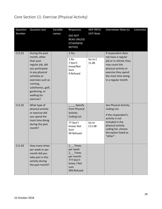### Core Section 11: Exercise (Physical Activity)

| Question<br>Number | <b>Question text</b>                                                                                                                                                                                                         | Variable<br>names | Responses<br>(DO NOT<br><b>READ UNLESS</b><br><b>OTHERWISE</b><br>NOTED)                                 | SKIP INFO/<br><b>CATI Note</b> | Interviewer Note (s)                                                                                                                                                               | Column(s) |
|--------------------|------------------------------------------------------------------------------------------------------------------------------------------------------------------------------------------------------------------------------|-------------------|----------------------------------------------------------------------------------------------------------|--------------------------------|------------------------------------------------------------------------------------------------------------------------------------------------------------------------------------|-----------|
| C11.01             | During the past<br>month, other<br>than your<br>regular job, did<br>you participate<br>in any physical<br>activities or<br>exercises such as<br>running,<br>calisthenics, golf,<br>gardening, or<br>walking for<br>exercise? |                   | 1 Yes<br>2 No<br>7 Don't<br>know/Not<br>Sure<br>9 Refused                                                | Go to C<br>11.08               | If respondent does<br>not have a regular<br>job or is retired, they<br>may count the<br>physical activity or<br>exercise they spend<br>the most time doing<br>in a regular month.  |           |
| C11.02             | What type of<br>physical activity<br>or exercise did<br>you spend the<br>most time doing<br>during the past<br>month?                                                                                                        |                   | Specify<br>from Physical<br>Activity<br><b>Coding List</b><br>77 Don't<br>know/Not<br>Sure<br>99 Refused | Go to<br>C11.08                | See Physical Activity<br>Coding List.<br>If the respondent's<br>activity is not<br>included in the<br>physical activity<br>coding list, choose<br>the option listed as<br>"other". |           |
| C11.03             | How many times<br>per week or per<br>month did you<br>take part in this<br>activity during<br>the past month?                                                                                                                |                   | $1 -$ Times<br>per week<br>$2_{-}$ Times<br>per month<br>777 Don't<br>know / Not<br>sure<br>999 Refused  |                                |                                                                                                                                                                                    |           |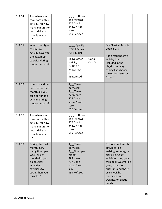| C11.04 | And when you<br>took part in this<br>activity, for how<br>many minutes or<br>hours did you<br>usually keep at<br>it?                                           | Hours<br>and minutes<br>777 Don't<br>know / Not<br>sure<br>999 Refused                                                    |                 |                                                                                                                                                                                                                                                   |  |
|--------|----------------------------------------------------------------------------------------------------------------------------------------------------------------|---------------------------------------------------------------------------------------------------------------------------|-----------------|---------------------------------------------------------------------------------------------------------------------------------------------------------------------------------------------------------------------------------------------------|--|
| C11.05 | What other type<br>of physical<br>activity gave you<br>the next most<br>exercise during<br>the past month?                                                     | Specify<br>from Physical<br><b>Activity List</b><br>88 No other<br>activity<br>77 Don't<br>know/Not<br>Sure<br>99 Refused | Go to<br>C11.08 | See Physical Activity<br>Coding List.<br>If the respondent's<br>activity is not<br>included in the<br>physical activity<br>coding list, choose<br>the option listed as<br>"other".                                                                |  |
| C11.06 | How many times<br>per week or per<br>month did you<br>take part in this<br>activity during<br>the past month?                                                  | $1_{-}$ Times<br>per week<br>$2$ __ Times<br>per month<br>777 Don't<br>know / Not<br>sure<br>999 Refused                  |                 |                                                                                                                                                                                                                                                   |  |
| C11.07 | And when you<br>took part in this<br>activity, for how<br>many minutes or<br>hours did you<br>usually keep at<br>it?                                           | Hours<br>$\sim$ 100 $\sim$<br>and minutes<br>777 Don't<br>know / Not<br>sure<br>999 Refused                               |                 |                                                                                                                                                                                                                                                   |  |
| C11.08 | During the past<br>month, how<br>many times per<br>week or per<br>month did you<br>do physical<br>activities or<br>exercises to<br>strengthen your<br>muscles? | 1 Times<br>per week<br>2_Times per<br>month<br>888 Never<br>777 Don't<br>know / Not<br>sure<br>999 Refused                |                 | Do not count aerobic<br>activities like<br>walking, running, or<br>bicycling. Count<br>activities using your<br>own body weight like<br>yoga, sit-ups or<br>push-ups and those<br>using weight<br>machines, free<br>weights, or elastic<br>bands. |  |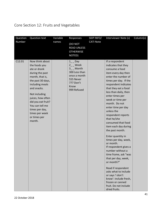# Core Section 12: Fruits and Vegetables

| Question | <b>Question text</b>                                                                                                                                                                                                                                                                       | Variable | Responses                                                                                                                          | SKIP INFO/       | Interviewer Note (s)                                                                                                                                                                                                                                                                                                                                                                                                                                                                                                                                                                                                                                                                                                                    | Column(s) |
|----------|--------------------------------------------------------------------------------------------------------------------------------------------------------------------------------------------------------------------------------------------------------------------------------------------|----------|------------------------------------------------------------------------------------------------------------------------------------|------------------|-----------------------------------------------------------------------------------------------------------------------------------------------------------------------------------------------------------------------------------------------------------------------------------------------------------------------------------------------------------------------------------------------------------------------------------------------------------------------------------------------------------------------------------------------------------------------------------------------------------------------------------------------------------------------------------------------------------------------------------------|-----------|
| Number   |                                                                                                                                                                                                                                                                                            | names    | (DO NOT<br><b>READ UNLESS</b><br><b>OTHERWISE</b><br>NOTED)                                                                        | <b>CATI Note</b> |                                                                                                                                                                                                                                                                                                                                                                                                                                                                                                                                                                                                                                                                                                                                         |           |
| C12.01   | Now think about<br>the foods you<br>ate or drank<br>during the past<br>month, that is,<br>the past 30 days,<br>including meals<br>and snacks.<br>Not including<br>juices, how often<br>did you eat fruit?<br>You can tell me<br>times per day,<br>times per week<br>or times per<br>month. |          | $1$ <sub>--</sub> Day<br>2 Week<br>$3_{-}$ Month<br>300 Less than<br>once a month<br>555 Never<br>777 Don't<br>Know<br>999 Refused |                  | If a respondent<br>indicates that they<br>consume a food<br>item every day then<br>enter the number of<br>times per day. If the<br>respondent indicates<br>that they eat a food<br>less than daily, then<br>enter times per<br>week or time per<br>month. Do not<br>enter time per day<br>unless the<br>respondent reports<br>that he/she<br>consumed that food<br>item each day during<br>the past month.<br>Enter quantity in<br>times per day, week,<br>or month.<br>If respondent gives a<br>number without a<br>time frame, ask "was<br>that per day, week,<br>or month?"<br>Read if respondent<br>asks what to include<br>or says 'i don't<br>know': include fresh,<br>frozen or canned<br>fruit. Do not include<br>dried fruits. |           |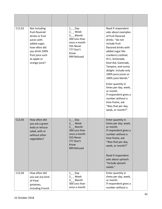| C12.02 | Not including<br>fruit-flavored<br>drinks or fruit<br>juices with<br>added sugar,<br>how often did<br>you drink 100%<br>fruit juice such<br>as apple or<br>orange juice? | $1$ <sub>_</sub> Day<br>$2_{-}$ Week<br>3_ Month<br>300 Less than<br>once a month<br>555 Never<br>777 Don't<br>Know<br>999 Refused  | Read if respondent<br>asks about examples<br>of fruit-flavored<br>drinks: "do not<br>include fruit-<br>flavored drinks with<br>added sugar like<br>cranberry cocktail,<br>Hi-C, lemonade,<br>Kool-Aid, Gatorade,<br>Tampico, and sunny<br>delight. Include only<br>100% pure juices or<br>100% juice blends."<br>Enter quantity in<br>times per day, week,<br>or month.<br>If respondent gives a<br>number without a<br>time frame, ask<br>"Was that per day,<br>week, or month?" |  |
|--------|--------------------------------------------------------------------------------------------------------------------------------------------------------------------------|-------------------------------------------------------------------------------------------------------------------------------------|-----------------------------------------------------------------------------------------------------------------------------------------------------------------------------------------------------------------------------------------------------------------------------------------------------------------------------------------------------------------------------------------------------------------------------------------------------------------------------------|--|
| C12.03 | How often did<br>you eat a green<br>leafy or lettuce<br>salad, with or<br>without other<br>vegetables?                                                                   | $1$ <sub>_</sub> Day<br>$2$ Week<br>$3_{-}$ Month<br>300 Less than<br>once a month<br>555 Never<br>777 Don't<br>Know<br>999 Refused | Enter quantity in<br>times per day, week,<br>or month.<br>If respondent gives a<br>number without a<br>time frame, ask<br>"Was that per day,<br>week, or month?"<br>Read if respondent<br>asks about spinach:<br>"Include spinach<br>salads."                                                                                                                                                                                                                                     |  |
| C12.04 | How often did<br>you eat any kind<br>of fried<br>potatoes,<br>including French                                                                                           | $1$ <sub>_</sub> Day<br>$2_{-}$ Week<br>3_ Month<br>300 Less than<br>once a month                                                   | Enter quantity in<br>times per day, week,<br>or month.<br>If respondent gives a<br>number without a                                                                                                                                                                                                                                                                                                                                                                               |  |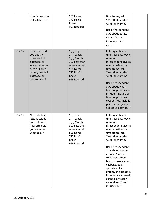|        | fries, home fries,<br>or hash browns?                                                                                                                 | 555 Never<br>777 Don't<br>Know<br>999 Refused                                                                                        | time frame, ask<br>"Was that per day,<br>week, or month?"<br>Read if respondent<br>asks about potato<br>chips: "Do not<br>include potato<br>chips."                                                                                                                                                                                                                                                                              |  |
|--------|-------------------------------------------------------------------------------------------------------------------------------------------------------|--------------------------------------------------------------------------------------------------------------------------------------|----------------------------------------------------------------------------------------------------------------------------------------------------------------------------------------------------------------------------------------------------------------------------------------------------------------------------------------------------------------------------------------------------------------------------------|--|
| C12.05 | How often did<br>you eat any<br>other kind of<br>potatoes, or<br>sweet potatoes,<br>such as baked,<br>boiled, mashed<br>potatoes, or<br>potato salad? | $1$ <sub>_</sub> Day<br>$2_{-}$ Week<br>3_ Month<br>300 Less than<br>once a month<br>555 Never<br>777 Don't<br>Know<br>999 Refused   | Enter quantity in<br>times per day, week,<br>or month.<br>If respondent gives a<br>number without a<br>time frame, ask<br>"Was that per day,<br>week, or month?"<br>Read if respondent<br>asks about what<br>types of potatoes to<br>include: "Include all<br>types of potatoes<br>except fried. Include<br>potatoes au gratin,<br>scalloped potatoes."                                                                          |  |
| C12.06 | Not including<br>lettuce salads<br>and potatoes,<br>how often did<br>you eat other<br>vegetables?                                                     | $1$ <sub>_</sub> _ Day<br>$2_{-}$ Week<br>3_ Month<br>300 Less than<br>once a month<br>555 Never<br>777 Don't<br>Know<br>999 Refused | Enter quantity in<br>times per day, week,<br>or month.<br>If respondent gives a<br>number without a<br>time frame, ask<br>"Was that per day,<br>week, or month?"<br>Read if respondent<br>asks about what to<br>include: "Include<br>tomatoes, green<br>beans, carrots, corn,<br>cabbage, bean<br>sprouts, collard<br>greens, and broccoli.<br>Include raw, cooked,<br>canned, or frozen<br>vegetables. Do not<br>include rice." |  |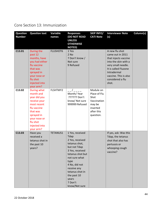#### Core Section 13: Immunization

| <b>Question</b><br><b>Number</b> | <b>Question text</b>                                                                                                                                                       | Variable<br>names | <b>Responses</b><br><b>(DO NOT READ</b><br><b>UNLESS</b><br><b>OTHERWISE</b><br><b>NOTED)</b>                                                                                                                                                      | <b>SKIP INFO/</b><br><b>CATI Note</b>                                                             | <b>Interviewer Note</b><br>(s)                                                                                                                                                                        | Column(s) |
|----------------------------------|----------------------------------------------------------------------------------------------------------------------------------------------------------------------------|-------------------|----------------------------------------------------------------------------------------------------------------------------------------------------------------------------------------------------------------------------------------------------|---------------------------------------------------------------------------------------------------|-------------------------------------------------------------------------------------------------------------------------------------------------------------------------------------------------------|-----------|
| C13.01                           | During the<br>past 12<br>months, have<br>you had either<br>flu vaccine<br>that was<br>sprayed in<br>your nose or<br>flu shot<br>injected into<br>your arm?                 | <b>FLUSHOT6</b>   | 1 Yes<br>$2$ No<br>7 Don't know /<br>Not sure<br>9 Refused                                                                                                                                                                                         |                                                                                                   | A new flu shot<br>came out in 2011<br>that injects vaccine<br>into the skin with a<br>very small needle.<br>It is called Fluzone<br>Intradermal<br>vaccine. This is also<br>considered a flu<br>shot. |           |
| C13.02                           | During what<br>month and<br>year did you<br>receive your<br>most recent<br>flu vaccine<br>that was<br>sprayed in<br>your nose or<br>flu shot<br>injected into<br>your arm? | FLSHTMY2          | Month/Year<br>777777 Don't<br>know/ Not sure<br>999999 Refused                                                                                                                                                                                     | Module on<br>Place of Flu<br>Shot<br>Vaccination<br>may be<br>inserted<br>after this<br>question. |                                                                                                                                                                                                       |           |
| C13.03                           | Have you<br>received a<br>tetanus shot in<br>the past 10<br>years?                                                                                                         | <b>TETANUS1</b>   | 1 Yes, received<br>Tdap<br>2 Yes, received<br>tetanus shot,<br>but not Tdap<br>3 Yes, received<br>tetanus shot but<br>not sure what<br>type<br>4 No, did not<br>receive any<br>tetanus shot in<br>the past 10<br>years<br>7 Don't<br>know/Not sure |                                                                                                   | If yes, ask: Was this<br>Tdap, the tetanus<br>shot that also has<br>pertussis or<br>whooping cough<br>vaccine?                                                                                        |           |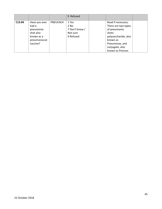|        |                                                                                            |          | 9 Refused                                                |                                                                                                                                                                   |  |
|--------|--------------------------------------------------------------------------------------------|----------|----------------------------------------------------------|-------------------------------------------------------------------------------------------------------------------------------------------------------------------|--|
| C13.04 | Have you ever<br>had a<br>pneumonia<br>shot also<br>known as a<br>pneumococcal<br>vaccine? | PNEUVAC4 | 1 Yes<br>2 No<br>7 Don't know /<br>Not sure<br>9 Refused | Read if necessary:<br>There are two types<br>of pneumonia<br>shots:<br>polysaccharide, also<br>known as<br>Pneumovax, and<br>conjugate, also<br>known as Prevnar. |  |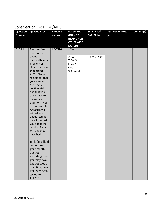#### Core Section 14: H.I.V./AIDS

| <b>Question</b><br><b>Number</b> | <b>Question text</b>                                                                                                                                                                                                                                        | Variable<br>names | <b>Responses</b><br><b>(DO NOT</b><br><b>READ UNLESS</b><br><b>OTHERWISE</b> | <b>SKIP INFO/</b><br><b>CATI Note</b> | <b>Interviewer Note</b><br>(s) | Column(s) |
|----------------------------------|-------------------------------------------------------------------------------------------------------------------------------------------------------------------------------------------------------------------------------------------------------------|-------------------|------------------------------------------------------------------------------|---------------------------------------|--------------------------------|-----------|
| C14.01                           | The next few<br>questions are<br>about the<br>national health<br>problem of<br>H.I.V., the virus<br>that causes<br>AIDS. Please                                                                                                                             | HIVTST6           | <b>NOTED)</b><br>1 Yes<br>2 No<br>7 Don't<br>know/ not<br>sure<br>9 Refused  | Go to C14.03                          |                                |           |
|                                  | remember that<br>your answers<br>are strictly<br>confidential<br>and that you<br>don't have to<br>answer every<br>question if you<br>do not want to.<br>Although we<br>will ask you<br>about testing,<br>we will not ask<br>you about the<br>results of any |                   |                                                                              |                                       |                                |           |
|                                  | test you may<br>have had.<br>Including fluid<br>testing from<br>your mouth,<br>but not<br>including tests<br>you may have<br>had for blood<br>donation, have<br>you ever been<br>tested for<br>H.I.V?                                                       |                   |                                                                              |                                       |                                |           |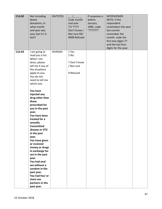| C14.02 | Not including<br>blood<br>donations, in<br>what month<br>and year was<br>your last H.I.V.<br>test?                                                                                                                                                                                                                                                                                                                                                                                                                                                                                                                   | HIVTSTD3        | Code month<br>and year<br>77/7777<br>Don't know /<br>Not sure 99/<br>9999 Refused | If response is<br>before<br>January<br>1985, code<br>"777777". | <b>INTERVIEWER</b><br>NOTE: If the<br>respondent<br>remembers the year<br>but cannot<br>remember the<br>month, code the<br>first two digits 77<br>and the last four<br>digits for the year. |  |
|--------|----------------------------------------------------------------------------------------------------------------------------------------------------------------------------------------------------------------------------------------------------------------------------------------------------------------------------------------------------------------------------------------------------------------------------------------------------------------------------------------------------------------------------------------------------------------------------------------------------------------------|-----------------|-----------------------------------------------------------------------------------|----------------------------------------------------------------|---------------------------------------------------------------------------------------------------------------------------------------------------------------------------------------------|--|
| C14.03 | I am going to<br>read you a list.<br>When I am<br>done, please<br>tell me if any of<br>the situations<br>apply to you.<br>You do not<br>need to tell me<br>which one.<br>You have<br>injected any<br>drug other than<br>those<br>prescribed for<br>you in the past<br>year.<br>You have been<br>treated for a<br>sexually<br>transmitted<br>disease or STD<br>in the past<br>year.<br>You have given<br>or received<br>money or drugs<br>in exchange for<br>sex in the past<br>year.<br>You had anal<br>sex without a<br>condom in the<br>past year.<br>You had four or<br>more sex<br>partners in the<br>past year. | <b>HIVRISK5</b> | 1 Yes<br>2 No<br>7 Don't know<br>/ Not sure<br>9 Refused                          |                                                                |                                                                                                                                                                                             |  |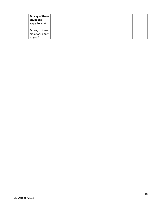| Do any of these<br>situations<br>apply to you? |  |  |  |
|------------------------------------------------|--|--|--|
| Do any of these<br>situations apply<br>to you? |  |  |  |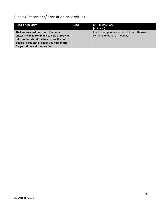# Closing Statement/ Transition to Modules

| <b>Read if necessary</b>                    | Read | <b>CATI</b> instructions                      |
|---------------------------------------------|------|-----------------------------------------------|
|                                             |      | (not read)                                    |
| That was my last question. Everyone's       |      | Read if no optional modules follow, otherwise |
| answers will be combined to help us provide |      | continue to optional modules.                 |
| information about the health practices of   |      |                                               |
| people in this state. Thank you very much   |      |                                               |
| for your time and cooperation.              |      |                                               |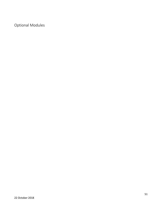Optional Modules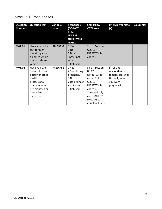#### Module 1: Prediabetes

| <b>Question</b><br><b>Number</b> | <b>Question text</b>                                                                                                                        | Variable<br>names | <b>Responses</b><br><b>(DO NOT</b><br><b>READ</b><br><b>UNLESS</b><br><b>OTHERWISE</b><br><b>NOTED)</b> | <b>SKIP INFO/</b><br><b>CATI Note</b>                                                                                                                             | <b>Interviewer Note</b><br>(s)                                                             | Column(s) |
|----------------------------------|---------------------------------------------------------------------------------------------------------------------------------------------|-------------------|---------------------------------------------------------------------------------------------------------|-------------------------------------------------------------------------------------------------------------------------------------------------------------------|--------------------------------------------------------------------------------------------|-----------|
| M01.01                           | Have you had a<br>test for high<br>blood sugar or<br>diabetes within<br>the past three<br>years?                                            | <b>PDIABTST</b>   | 1 Yes<br>$2$ No<br>7 Don't<br>know/ not<br>sure<br>9 Refused                                            | Skip if Section<br>C06.12,<br>DIABETE3, is<br>coded 1                                                                                                             |                                                                                            |           |
| M01.02                           | Have you ever<br>been told by a<br>doctor or other<br>health<br>professional<br>that you have<br>pre-diabetes or<br>borderline<br>diabetes? | PREDIAB1          | 1 Yes<br>2 Yes, during<br>pregnancy<br>3 No<br>7 Don't know<br>/ Not sure<br>9 Refused                  | Skip if Section<br>06.12,<br>DIABETE3, is<br>coded 1; If<br>C06.12,<br>DIABETE3, is<br>coded 4<br>automatically<br>code M01.02,<br>PREDIAB1,<br>equal to 1 (yes); | If Yes and<br>respondent is<br>female, ask: Was<br>this only when<br>you were<br>pregnant? |           |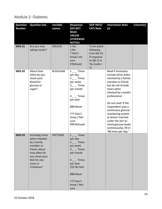#### Module 2: Diabetes

| <b>Question</b><br><b>Number</b> | <b>Question text</b>                                                                                                                                       | Variable<br>names | <b>Responses</b><br>(DO NOT<br><b>READ</b><br><b>UNLESS</b><br><b>OTHERWISE</b><br><b>NOTED)</b>                                                                               | <b>SKIP INFO/</b><br><b>CATI Note</b>                                                        | <b>Interviewer Note</b><br>(s)                                                                                                                                                                                                                                                                                                                                              | Column(s) |
|----------------------------------|------------------------------------------------------------------------------------------------------------------------------------------------------------|-------------------|--------------------------------------------------------------------------------------------------------------------------------------------------------------------------------|----------------------------------------------------------------------------------------------|-----------------------------------------------------------------------------------------------------------------------------------------------------------------------------------------------------------------------------------------------------------------------------------------------------------------------------------------------------------------------------|-----------|
| M02.01                           | Are you now<br>taking insulin?                                                                                                                             | <b>INSULIN</b>    | 1 Yes<br>2 No<br>7 Don't<br>know/ not<br>sure<br>9 Refused                                                                                                                     | To be asked<br>following<br>Core Q6.13;<br>if response<br>to Q6.12 is<br>Yes (code $=$<br>1) |                                                                                                                                                                                                                                                                                                                                                                             |           |
| M02.02                           | About how<br>often do you<br>check your<br>blood for<br>glucose or<br>sugar?                                                                               | <b>BLDSUGAR</b>   | $1 -$ Times<br>per day<br>$2 -$ Times<br>per week<br>$3 -$ Times<br>per month<br>$4 -$ Times<br>per year<br>888 Never<br>777 Don't<br>know / Not<br>sure<br>999 Refused        |                                                                                              | Read if necessary:<br>Include times when<br>checked by a family<br>member or friend,<br>but do not include<br>times when<br>checked by a health<br>professional.<br>Do not read: If the<br>respondent uses a<br>continuous glucose<br>monitoring system<br>(a sensor inserted<br>under the skin to<br>check glucose levels<br>continuously), fill in<br>'98 times per day.' |           |
| M02.03                           | Including times<br>when checked<br>by a family<br>member or<br>friend, about<br>how often do<br>you check your<br>feet for any<br>sores or<br>irritations? | FEETCHK3          | <b>Times</b><br>1<br>per day<br>$2 -$ Times<br>per week<br>$3 - $ Times<br>per month<br>$4 -$ Times<br>per year<br>555 No feet<br>888 Never<br>777 Don't<br>know / Not<br>sure |                                                                                              |                                                                                                                                                                                                                                                                                                                                                                             |           |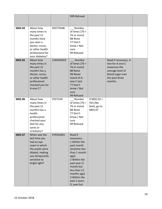|        |                                                                                                                                                        |                 | 999 Refused                                                                                                                                                                                                             |                                                    |                                                                                                                               |  |
|--------|--------------------------------------------------------------------------------------------------------------------------------------------------------|-----------------|-------------------------------------------------------------------------------------------------------------------------------------------------------------------------------------------------------------------------|----------------------------------------------------|-------------------------------------------------------------------------------------------------------------------------------|--|
| M02.04 | About how<br>many times in<br>the past 12<br>months have<br>you seen a<br>doctor, nurse,<br>or other health<br>professional for<br>your diabetes?      | <b>DOCTDIAB</b> | __ Number<br>of times $[76 =$<br>76 or more]<br>88 None<br>77 Don't<br>know / Not<br>sure<br>99 Refused                                                                                                                 |                                                    |                                                                                                                               |  |
| M02.05 | About how<br>many times in<br>the past 12<br>months has a<br>doctor, nurse,<br>or other health<br>professional<br>checked you for<br>A-one-C?          | CHKHEMO3        | Number<br>of times $[76 =$<br>76 or more]<br>88 None<br>98 Never<br>heard of A-<br>one-C test<br>77 Don't<br>know / Not<br>sure<br>99 Refused                                                                           |                                                    | Read if necessary: A<br>test for A-one-C<br>measures the<br>average level of<br>blood sugar over<br>the past three<br>months. |  |
| M02.06 | About how<br>many times in<br>the past 12<br>months has a<br>health<br>professional<br>checked your<br>feet for any<br>sores or<br>irritations?        | <b>FEETCHK</b>  | $_{--}$ Number<br>of times $[76 =$<br>76 or more]<br>88 None<br>77 Don't<br>know / Not<br>sure<br>99 Refused                                                                                                            | If $M02.03 =$<br>555 (No<br>feet), go to<br>M02.07 |                                                                                                                               |  |
| M02.07 | When was the<br>last time you<br>had an eye<br>exam in which<br>the pupils were<br>dilated, making<br>you temporarily<br>sensitive to<br>bright light? | EYEEXAM1        | Read if<br>necessary:<br>1 Within the<br>past month<br>(anytime less<br>than 1 month<br>ago)<br>2 Within the<br>past year (1<br>month but<br>less than 12<br>months ago)<br>3 Within the<br>past 2 years<br>(1 year but |                                                    |                                                                                                                               |  |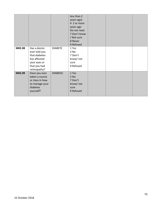|        |                                                                                                                |                | less than 2<br>years ago)<br>4 2 or more<br>years ago<br>Do not read:<br>7 Don't know<br>/ Not sure<br>8 Never<br>9 Refused |  |  |
|--------|----------------------------------------------------------------------------------------------------------------|----------------|-----------------------------------------------------------------------------------------------------------------------------|--|--|
| M02.08 | Has a doctor<br>ever told you<br>that diabetes<br>has affected<br>your eyes or<br>that you had<br>retinopathy? | <b>DIABEYE</b> | 1 Yes<br>2 No<br>7 Don't<br>know/ not<br>sure<br>9 Refused                                                                  |  |  |
| M02.09 | Have you ever<br>taken a course<br>or class in how<br>to manage your<br>diabetes<br>yourself?                  | <b>DIABEDU</b> | 1 Yes<br>2 No<br>7 Don't<br>know/not<br>sure<br>9 Refused                                                                   |  |  |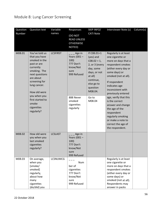# Module 8: Lung Cancer Screening

| Question<br>Number | <b>Question text</b>                                                                                                                                                                                                                                  | Variable<br>names | Responses<br>(DO NOT<br><b>READ UNLESS</b><br><b>OTHERWISE</b><br>NOTED)                                                           | SKIP INFO/<br><b>CATI Note</b>                                                                                                                                                | Interviewer Note (s)                                                                                                                                                                                                                                                                                                                                                                                                   | Column(s) |
|--------------------|-------------------------------------------------------------------------------------------------------------------------------------------------------------------------------------------------------------------------------------------------------|-------------------|------------------------------------------------------------------------------------------------------------------------------------|-------------------------------------------------------------------------------------------------------------------------------------------------------------------------------|------------------------------------------------------------------------------------------------------------------------------------------------------------------------------------------------------------------------------------------------------------------------------------------------------------------------------------------------------------------------------------------------------------------------|-----------|
| M08.01             | You've told us<br>that you have<br>smoked in the<br>past or are<br>currently<br>smoking. The<br>next questions<br>are about<br>screening for<br>lung cancer.<br>How old were<br>you when you<br>first started to<br>smoke<br>cigarettes<br>regularly? | <b>LCSFIRST</b>   | Age in<br>Years $(001 -$<br>100)<br>777 Don't<br>know/Not<br>sure<br>999 Refused<br>888 Never<br>smoked<br>cigarettes<br>regularly | If $CO8.01 = 1$<br>(yes) and<br>$C08.02 = 1$ ,<br>2, or 3 (every<br>day, some<br>days, or not<br>at all)<br>continue,<br>else go to<br>question<br>M08.04.<br>Go to<br>M08.04 | Regularly is at least<br>one cigarette or<br>more on days that a<br>respondent smokes<br>(either every day or<br>some days) or<br>smoked (not at all).<br>If respondent<br>indicates age<br>inconsistent with<br>previously entered<br>age, verify that this<br>is the correct<br>answer and change<br>the age of the<br>respondent<br>regularly smoking<br>or make a note to<br>correct the age of<br>the respondent. |           |
| M08.02             | How old were<br>you when you<br>last smoked<br>cigarettes<br>regularly?                                                                                                                                                                               | <b>LCSLAST</b>    | Age in<br>Years $(001 -$<br>100)<br>777 Don't<br>know/Not<br>sure<br>999 Refused                                                   |                                                                                                                                                                               |                                                                                                                                                                                                                                                                                                                                                                                                                        |           |
| M08.03             | On average,<br>when you<br>[smoke/<br>smoked]<br>regularly,<br>about how<br>many<br>cigarettes<br>{do/did} you                                                                                                                                        | <b>LCSNUMCG</b>   | Num<br>ber of<br>cigarettes<br>777 Don't<br>know/Not<br>sure<br>999 Refused                                                        |                                                                                                                                                                               | Regularly is at least<br>one cigarette or<br>more on days that a<br>respondent smokes<br>(either every day or<br>some days) or<br>smoked (not at all).<br>Respondents may<br>answer in packs                                                                                                                                                                                                                           |           |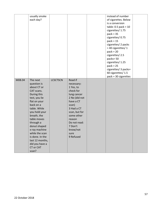|        | usually smoke             |                 |                        | instead of number                       |  |
|--------|---------------------------|-----------------|------------------------|-----------------------------------------|--|
|        | each day?                 |                 |                        | of cigarettes. Below<br>is a conversion |  |
|        |                           |                 |                        | table: $0.5$ pack = $10$                |  |
|        |                           |                 |                        | cigarettes/1.75                         |  |
|        |                           |                 |                        | $pack = 35$                             |  |
|        |                           |                 |                        | cigarettes/0.75                         |  |
|        |                           |                 |                        | $pack = 15$                             |  |
|        |                           |                 |                        | cigarettes/2 packs                      |  |
|        |                           |                 |                        | $=$ 40 cigarettes/1                     |  |
|        |                           |                 |                        | $pack = 20$                             |  |
|        |                           |                 |                        | cigarettes/2.5                          |  |
|        |                           |                 |                        | packs=50                                |  |
|        |                           |                 |                        | cigarettes/1.25                         |  |
|        |                           |                 |                        | $pack = 25$                             |  |
|        |                           |                 |                        | cigarettes/ 3 packs=                    |  |
|        |                           |                 |                        | 60 cigarettes/1.5                       |  |
|        |                           |                 |                        | pack = 30 cigarettes                    |  |
| M08.04 | The next                  | <b>LCSCTSCN</b> | Read if                |                                         |  |
|        | question is               |                 | necessary:             |                                         |  |
|        | about CT or               |                 | 1 Yes, to              |                                         |  |
|        | CAT scans.                |                 | check for              |                                         |  |
|        | During this               |                 | lung cancer            |                                         |  |
|        | test, you lie             |                 | 2 No (did not          |                                         |  |
|        | flat on your              |                 | have a CT              |                                         |  |
|        | back on a                 |                 | scan)                  |                                         |  |
|        | table. While              |                 | 3 Had a CT             |                                         |  |
|        | you hold your             |                 | scan, but for          |                                         |  |
|        | breath, the               |                 | some other             |                                         |  |
|        | table moves               |                 | reason<br>Do not read: |                                         |  |
|        | through a<br>donut shaped |                 | 7 Don't                |                                         |  |
|        | x-ray machine             |                 | know/not               |                                         |  |
|        | while the scan            |                 | sure                   |                                         |  |
|        | is done. In the           |                 | 9 Refused              |                                         |  |
|        | last 12 months,           |                 |                        |                                         |  |
|        | did you have a            |                 |                        |                                         |  |
|        | CT or CAT                 |                 |                        |                                         |  |
|        | scan?                     |                 |                        |                                         |  |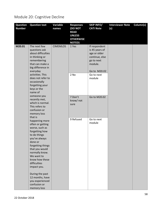# Module 20: Cognitive Decline

| <b>Question</b> | <b>Question text</b>               | Variable        | <b>Responses</b>                  | <b>SKIP INFO/</b> | <b>Interviewer Note</b> | Column(s) |
|-----------------|------------------------------------|-----------------|-----------------------------------|-------------------|-------------------------|-----------|
| <b>Number</b>   |                                    | names           | (DO NOT                           | <b>CATI Note</b>  | (s)                     |           |
|                 |                                    |                 | <b>READ</b>                       |                   |                         |           |
|                 |                                    |                 | <b>UNLESS</b>                     |                   |                         |           |
|                 |                                    |                 | <b>OTHERWISE</b><br><b>NOTED)</b> |                   |                         |           |
| M20.01          | The next few                       | <b>CIMEMLOS</b> | 1 Yes                             | If respondent     |                         |           |
|                 | questions ask                      |                 |                                   | is 45 years of    |                         |           |
|                 | about difficulties                 |                 |                                   | age or older      |                         |           |
|                 | in thinking or                     |                 |                                   | continue, else    |                         |           |
|                 | remembering                        |                 |                                   | go to next        |                         |           |
|                 | that can make a                    |                 |                                   | module.           |                         |           |
|                 | big difference in                  |                 |                                   |                   |                         |           |
|                 | everyday                           |                 |                                   | Go to M20.02      |                         |           |
|                 | activities. This                   |                 | $2$ No                            | Go to next        |                         |           |
|                 | does not refer to                  |                 |                                   | module            |                         |           |
|                 | occasionally<br>forgetting your    |                 |                                   |                   |                         |           |
|                 | keys or the                        |                 |                                   |                   |                         |           |
|                 | name of                            |                 |                                   |                   |                         |           |
|                 | someone you                        |                 | 7 Don't                           | Go to M20.02      |                         |           |
|                 | recently met,                      |                 | know/ not                         |                   |                         |           |
|                 | which is normal.                   |                 | sure                              |                   |                         |           |
|                 | This refers to                     |                 |                                   |                   |                         |           |
|                 | confusion or                       |                 |                                   |                   |                         |           |
|                 | memory loss                        |                 |                                   |                   |                         |           |
|                 | that is                            |                 | 9 Refused                         | Go to next        |                         |           |
|                 | happening more<br>often or getting |                 |                                   | module            |                         |           |
|                 | worse, such as                     |                 |                                   |                   |                         |           |
|                 | forgetting how                     |                 |                                   |                   |                         |           |
|                 | to do things                       |                 |                                   |                   |                         |           |
|                 | you've always                      |                 |                                   |                   |                         |           |
|                 | done or                            |                 |                                   |                   |                         |           |
|                 | forgetting things                  |                 |                                   |                   |                         |           |
|                 | that you would                     |                 |                                   |                   |                         |           |
|                 | normally know.                     |                 |                                   |                   |                         |           |
|                 | We want to                         |                 |                                   |                   |                         |           |
|                 | know how these<br>difficulties     |                 |                                   |                   |                         |           |
|                 | impact you.                        |                 |                                   |                   |                         |           |
|                 |                                    |                 |                                   |                   |                         |           |
|                 | During the past                    |                 |                                   |                   |                         |           |
|                 | 12 months, have                    |                 |                                   |                   |                         |           |
|                 | you experienced                    |                 |                                   |                   |                         |           |
|                 | confusion or                       |                 |                                   |                   |                         |           |
|                 | memory loss                        |                 |                                   |                   |                         |           |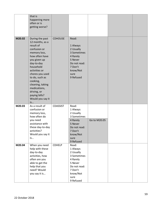|        | that is<br>happening more<br>often or is<br>getting worse?                                                                                                                                                                                                                                                   |                 |                                                                                                                                               |              |  |
|--------|--------------------------------------------------------------------------------------------------------------------------------------------------------------------------------------------------------------------------------------------------------------------------------------------------------------|-----------------|-----------------------------------------------------------------------------------------------------------------------------------------------|--------------|--|
| M20.02 | During the past<br>12 months, as a<br>result of<br>confusion or<br>memory loss,<br>how often have<br>you given up<br>day-to-day<br>household<br>activities or<br>chores you used<br>to do, such as<br>cooking,<br>cleaning, taking<br>medications,<br>driving, or<br>paying bills?<br>Would you say it<br>is | <b>CDHOUSE</b>  | Read:<br>1 Always<br>2 Usually<br>3 Sometimes<br>4 Rarely<br>5 Never<br>Do not read:<br>7 Don't<br>know/Not<br>sure<br>9 Refused              |              |  |
| M20.03 | As a result of<br>confusion or<br>memory loss,<br>how often do<br>you need<br>assistance with<br>these day-to-day<br>activities?<br>Would you say it<br>is                                                                                                                                                   | <b>CDASSIST</b> | Read:<br>1 Always<br>2 Usually<br>3 Sometimes<br>4 Rarely<br>5 Never<br>Do not read:<br>7 Don't<br>know/Not<br>sure                           | Go to M20.05 |  |
| M20.04 | When you need<br>help with these<br>day-to-day<br>activities, how<br>often are you<br>able to get the<br>help that you<br>need? Would<br>you say it is                                                                                                                                                       | <b>CDHELP</b>   | 9 Refused<br>Read:<br>1 Always<br>2 Usually<br>3 Sometimes<br>4 Rarely<br>5 Never<br>Do not read:<br>7 Don't<br>know/Not<br>sure<br>9 Refused |              |  |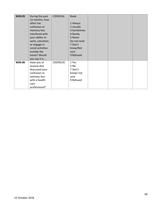| M20.05 | During the past   | <b>CDSOCIAL</b> | Read:        |  |  |
|--------|-------------------|-----------------|--------------|--|--|
|        | 12 months, how    |                 |              |  |  |
|        | often has         |                 | 1 Always     |  |  |
|        | confusion or      |                 | 2 Usually    |  |  |
|        | memory loss       |                 | 3 Sometimes  |  |  |
|        | interfered with   |                 | 4 Rarely     |  |  |
|        | your ability to   |                 | 5 Never      |  |  |
|        | work, volunteer,  |                 | Do not read: |  |  |
|        | or engage in      |                 | 7 Don't      |  |  |
|        | social activities |                 | know/Not     |  |  |
|        | outside the       |                 | sure         |  |  |
|        | home? Would       |                 | 9 Refused    |  |  |
|        | you say it is     |                 |              |  |  |
| M20.06 | Have you or       | <b>CDDISCUS</b> | 1 Yes        |  |  |
|        | anyone else       |                 | 2 No         |  |  |
|        | discussed your    |                 | 7 Don't      |  |  |
|        | confusion or      |                 | know/ not    |  |  |
|        | memory loss       |                 | sure         |  |  |
|        | with a health     |                 | 9 Refused    |  |  |
|        | care              |                 |              |  |  |
|        | professional?     |                 |              |  |  |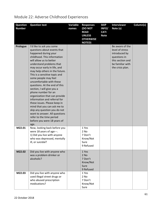| <b>Question</b><br><b>Number</b> | <b>Question text</b>                                                                                                                                                                                                                                                                                                                                                                                                                                                                                                                                                                                                                                                                   | Variable<br>names | <b>Responses</b><br>(DO NOT<br><b>READ</b><br><b>UNLESS</b><br><b>OTHERWISE</b><br><b>NOTED)</b> | <b>SKIP</b><br>INFO/<br><b>CATI</b><br><b>Note</b> | <b>Interviewer</b><br>Note (s)                                                                                                  | Column(s) |
|----------------------------------|----------------------------------------------------------------------------------------------------------------------------------------------------------------------------------------------------------------------------------------------------------------------------------------------------------------------------------------------------------------------------------------------------------------------------------------------------------------------------------------------------------------------------------------------------------------------------------------------------------------------------------------------------------------------------------------|-------------------|--------------------------------------------------------------------------------------------------|----------------------------------------------------|---------------------------------------------------------------------------------------------------------------------------------|-----------|
| Prologue                         | I'd like to ask you some<br>questions about events that<br>happened during your<br>childhood. This information<br>will allow us to better<br>understand problems that<br>may occur early in life, and<br>may help others in the future.<br>This is a sensitive topic and<br>some people may feel<br>uncomfortable with these<br>questions. At the end of this<br>section, I will give you a<br>phone number for an<br>organization that can provide<br>information and referral for<br>these issues. Please keep in<br>mind that you can ask me to<br>skip any question you do not<br>want to answer. All questions<br>refer to the time period<br>before you were 18 years of<br>age. |                   |                                                                                                  |                                                    | Be aware of the<br>level of stress<br>introduced by<br>questions in<br>this section and<br>be familiar with<br>the crisis plan. |           |
| M22.01                           | Now, looking back before you<br>were 18 years of age---.<br>1) Did you live with anyone<br>who was depressed, mentally<br>ill, or suicidal?                                                                                                                                                                                                                                                                                                                                                                                                                                                                                                                                            |                   | 1 Yes<br>2 No<br>7 Don't<br>Know/Not<br>Sure<br>9 Refused                                        |                                                    |                                                                                                                                 |           |
| M22.02                           | Did you live with anyone who<br>was a problem drinker or<br>alcoholic?                                                                                                                                                                                                                                                                                                                                                                                                                                                                                                                                                                                                                 |                   | 1 Yes<br>$2$ No<br>7 Don't<br>Know/Not<br>Sure<br>9 Refused                                      |                                                    |                                                                                                                                 |           |
| M22.03                           | Did you live with anyone who<br>used illegal street drugs or<br>who abused prescription<br>medications?                                                                                                                                                                                                                                                                                                                                                                                                                                                                                                                                                                                |                   | 1 Yes<br>2 No<br>7 Don't<br>Know/Not<br>Sure                                                     |                                                    |                                                                                                                                 |           |

# Module 22: Adverse Childhood Experiences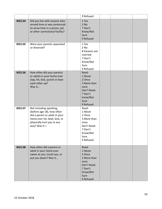|        |                                                                                                                                                                       | 9 Refused                                                                                                    |  |  |
|--------|-----------------------------------------------------------------------------------------------------------------------------------------------------------------------|--------------------------------------------------------------------------------------------------------------|--|--|
| M22.04 | Did you live with anyone who<br>served time or was sentenced<br>to serve time in a prison, jail,<br>or other correctional facility?                                   | 1 Yes<br>$2$ No<br>7 Don't<br>Know/Not<br>Sure<br>9 Refused                                                  |  |  |
| M22.05 | Were your parents separated<br>or divorced?                                                                                                                           | 1 Yes<br>2 No<br>8 Parents not<br>married<br>7 Don't<br>Know/Not<br>Sure<br>9 Refused                        |  |  |
| M22.06 | How often did your parents<br>or adults in your home ever<br>slap, hit, kick, punch or beat<br>each other up?<br>Was it                                               | Read:<br>1 Never<br>2 Once<br>3 More than<br>once<br>Don't Read:<br>7 Don't<br>know/Not<br>Sure<br>9 Refused |  |  |
| M22.07 | Not including spanking,<br>(before age 18), how often<br>did a parent or adult in your<br>home ever hit, beat, kick, or<br>physically hurt you in any<br>way? Was it- | Read:<br>1 Never<br>2 Once<br>3 More than<br>once<br>Don't Read:<br>7 Don't<br>know/Not<br>Sure<br>9 Refused |  |  |
| M22.08 | How often did a parent or<br>adult in your home ever<br>swear at you, insult you, or<br>put you down? Was it                                                          | Read:<br>1 Never<br>2 Once<br>3 More than<br>once<br>Don't Read:<br>7 Don't<br>know/Not<br>Sure<br>9 Refused |  |  |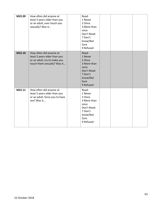| M22.09 | How often did anyone at<br>least 5 years older than you<br>or an adult, ever touch you<br>sexually? Was it             | Read:<br>1 Never<br>2 Once<br>3 More than<br>once<br>Don't Read:<br>7 Don't<br>know/Not<br>Sure<br>9 Refused |  |  |
|--------|------------------------------------------------------------------------------------------------------------------------|--------------------------------------------------------------------------------------------------------------|--|--|
| M22.10 | How often did anyone at<br>least 5 years older than you<br>or an adult, try to make you<br>touch them sexually? Was it | Read:<br>1 Never<br>2 Once<br>3 More than<br>once<br>Don't Read:<br>7 Don't<br>know/Not<br>Sure<br>9 Refused |  |  |
| M22.11 | How often did anyone at<br>least 5 years older than you<br>or an adult, force you to have<br>sex? Was it               | Read:<br>1 Never<br>2 Once<br>3 More than<br>once<br>Don't Read:<br>7 Don't<br>know/Not<br>Sure<br>9 Refused |  |  |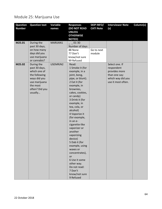### Module 25: Marijuana Use

| <b>Question</b> | <b>Question text</b> | Variable | <b>Responses</b>                  | <b>SKIP INFO/</b> | <b>Interviewer Note</b> | Column(s) |
|-----------------|----------------------|----------|-----------------------------------|-------------------|-------------------------|-----------|
| <b>Number</b>   |                      | names    | <b>(DO NOT READ</b>               | <b>CATI Note</b>  | (s)                     |           |
|                 |                      |          | <b>UNLESS</b>                     |                   |                         |           |
|                 |                      |          | <b>OTHERWISE</b><br><b>NOTED)</b> |                   |                         |           |
| M25.01          | During the           | MARIJAN1 | $01 - 30$                         |                   |                         |           |
|                 | past 30 days,        |          | Number of days                    |                   |                         |           |
|                 | on how many          |          | 88 None                           | Go to next        |                         |           |
|                 | days did you         |          | 77 Don't                          | module            |                         |           |
|                 | use marijuana        |          | know/not sure                     |                   |                         |           |
|                 | or cannabis?         |          | 99 Refused                        |                   |                         |           |
| M25.02          | During the           | USEMRJN2 | Read:                             |                   | Select one. If          |           |
|                 | past 30 days,        |          | 1 Smoke it (for                   |                   | respondent              |           |
|                 | which one of         |          | example, in a                     |                   | provides more           |           |
|                 | the following        |          | joint, bong,                      |                   | than one say:           |           |
|                 | ways did you         |          | pipe, or blunt).                  |                   | which way did you       |           |
|                 | use marijuana        |          | 2 Eat it (for                     |                   | use it most often.      |           |
|                 | the most             |          | example, in                       |                   |                         |           |
|                 | often? Did you       |          | brownies,                         |                   |                         |           |
|                 | usually              |          | cakes, cookies,                   |                   |                         |           |
|                 |                      |          | or candy)<br>3 Drink it (for      |                   |                         |           |
|                 |                      |          | example, in                       |                   |                         |           |
|                 |                      |          | tea, cola, or                     |                   |                         |           |
|                 |                      |          | alcohol)                          |                   |                         |           |
|                 |                      |          | 4 Vaporize it                     |                   |                         |           |
|                 |                      |          | (for example,                     |                   |                         |           |
|                 |                      |          | in an e-                          |                   |                         |           |
|                 |                      |          | cigarette-like                    |                   |                         |           |
|                 |                      |          | vaporizer or                      |                   |                         |           |
|                 |                      |          | another                           |                   |                         |           |
|                 |                      |          | vaporizing                        |                   |                         |           |
|                 |                      |          | device)                           |                   |                         |           |
|                 |                      |          | 5 Dab it (for                     |                   |                         |           |
|                 |                      |          | example, using                    |                   |                         |           |
|                 |                      |          | waxes or                          |                   |                         |           |
|                 |                      |          | concentrates),                    |                   |                         |           |
|                 |                      |          | or<br>6 Use it some               |                   |                         |           |
|                 |                      |          | other way.                        |                   |                         |           |
|                 |                      |          | Do not read:                      |                   |                         |           |
|                 |                      |          | 7 Don't                           |                   |                         |           |
|                 |                      |          | know/not sure                     |                   |                         |           |
|                 |                      |          | 9 Refused                         |                   |                         |           |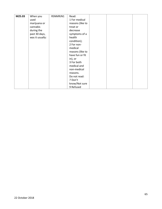| M25.03 | When you        | RSNMRJN1 | Read:            |  |  |
|--------|-----------------|----------|------------------|--|--|
|        | used            |          | 1 For medical    |  |  |
|        | marijuana or    |          | reasons (like to |  |  |
|        | cannabis        |          | treat or         |  |  |
|        | during the      |          | decrease         |  |  |
|        | past 30 days,   |          | symptoms of a    |  |  |
|        | was it usually: |          | health           |  |  |
|        |                 |          | condition);      |  |  |
|        |                 |          | 2 For non-       |  |  |
|        |                 |          | medical          |  |  |
|        |                 |          | reasons (like to |  |  |
|        |                 |          | have fun or fit  |  |  |
|        |                 |          | $in)$ , or       |  |  |
|        |                 |          | 3 For both       |  |  |
|        |                 |          | medical and      |  |  |
|        |                 |          | non-medical      |  |  |
|        |                 |          | reasons.         |  |  |
|        |                 |          | Do not read:     |  |  |
|        |                 |          | 7 Don't          |  |  |
|        |                 |          | know/Not sure    |  |  |
|        |                 |          | 9 Refused        |  |  |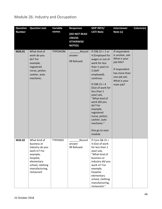# Module 26: Industry and Occupation

| <b>Question</b> | <b>Question text</b>                                                                                                                                      | Variable        | <b>Responses</b>                                                          | <b>SKIP INFO/</b>                                                                                                                                                                                                                                                                                                                                            | <b>Interviewer</b>                                                                                                                             | Column(s) |
|-----------------|-----------------------------------------------------------------------------------------------------------------------------------------------------------|-----------------|---------------------------------------------------------------------------|--------------------------------------------------------------------------------------------------------------------------------------------------------------------------------------------------------------------------------------------------------------------------------------------------------------------------------------------------------------|------------------------------------------------------------------------------------------------------------------------------------------------|-----------|
| <b>Number</b>   |                                                                                                                                                           | names           | <b>(DO NOT READ</b><br><b>UNLESS</b><br><b>OTHERWISE</b><br><b>NOTED)</b> | <b>CATI Note</b>                                                                                                                                                                                                                                                                                                                                             | Note (s)                                                                                                                                       |           |
| M26.01          | What kind of<br>work do you<br>do? For<br>example,<br>registered<br>nurse, janitor,<br>cashier, auto<br>mechanic.                                         | <b>TYPEWORK</b> | Record<br>answer<br>99 Refused                                            | If $C08.15 = 1$ or<br>4 (Employed for<br>wages or out of<br>work for less<br>than 1 year) or<br>2 (Self-<br>employed),<br>continue.<br>If $CO8.15 = 4$<br>(Out of work for<br>less than 1<br>year) ask,<br>"What kind of<br>work did you<br>do? For<br>example,<br>registered<br>nurse, janitor,<br>cashier, auto<br>mechanic."<br>Else go to next<br>module | If respondent<br>is unclear, ask:<br>What is your<br>job title?<br>If respondent<br>has more than<br>one job ask:<br>What is your<br>main job? |           |
| M26.02          | What kind of<br>business or<br>industry do you<br>work in? For<br>example,<br>hospital,<br>elementary<br>school, clothing<br>manufacturing,<br>restaurant | <b>TYPEINDS</b> | Record<br>answer<br>99 Refused                                            | If Core $Q8.15 =$<br>4 (Out of work<br>for less than 1<br>year) ask,<br>"What kind of<br>business or<br>industry did you<br>work in? For<br>example,<br>hospital,<br>elementary<br>school, clothing<br>manufacturing,<br>restaurant."                                                                                                                        |                                                                                                                                                |           |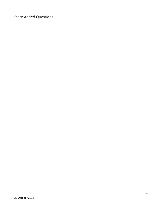State Added Questions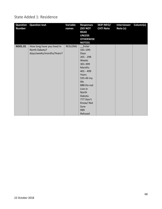#### State Added 1: Residence

| <b>Question</b><br><b>Number</b> | <b>Question text</b>       | Variable<br>names | <b>Responses</b><br>(DO NOT<br><b>READ</b><br><b>UNLESS</b><br><b>OTHERWISE</b><br><b>NOTED)</b> | <b>SKIP INFO/</b><br><b>CATI Note</b> | <b>Interviewer</b><br>Note (s) | Column(s) |
|----------------------------------|----------------------------|-------------------|--------------------------------------------------------------------------------------------------|---------------------------------------|--------------------------------|-----------|
| ND01.01                          | How long have you lived in | <b>RESLONG</b>    | Enter                                                                                            |                                       |                                |           |
|                                  | North Dakota?              |                   | 101-199:                                                                                         |                                       |                                |           |
|                                  | days/weeks/months/Years?   |                   | Days                                                                                             |                                       |                                |           |
|                                  |                            |                   | $201 - 299$                                                                                      |                                       |                                |           |
|                                  |                            |                   | Weeks                                                                                            |                                       |                                |           |
|                                  |                            |                   | 301-399                                                                                          |                                       |                                |           |
|                                  |                            |                   | <b>Months</b>                                                                                    |                                       |                                |           |
|                                  |                            |                   | 401 - 499                                                                                        |                                       |                                |           |
|                                  |                            |                   | Years                                                                                            |                                       |                                |           |
|                                  |                            |                   | 555 All my                                                                                       |                                       |                                |           |
|                                  |                            |                   | life                                                                                             |                                       |                                |           |
|                                  |                            |                   | 888 Do not                                                                                       |                                       |                                |           |
|                                  |                            |                   | Live in                                                                                          |                                       |                                |           |
|                                  |                            |                   | North                                                                                            |                                       |                                |           |
|                                  |                            |                   | Dakota                                                                                           |                                       |                                |           |
|                                  |                            |                   | 777 Don't                                                                                        |                                       |                                |           |
|                                  |                            |                   | Know/Not                                                                                         |                                       |                                |           |
|                                  |                            |                   | Sure                                                                                             |                                       |                                |           |
|                                  |                            |                   | 999                                                                                              |                                       |                                |           |
|                                  |                            |                   | Refused                                                                                          |                                       |                                |           |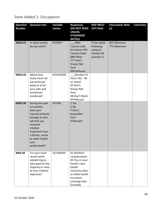### State Added 2: Occupation

| <b>Question</b><br><b>Number</b> | <b>Question text</b>                                                                                                                                                                                     | <b>Variable</b><br>names | <b>Responses</b><br>(DO NOT READ<br><b>UNLESS</b><br><b>OTHERWISE</b><br><b>NOTED)</b>                                                                   | <b>SKIP INFO/</b><br><b>CATI Note</b>                           | <b>Interviewer Note</b><br>(s) | Column(s) |
|----------------------------------|----------------------------------------------------------------------------------------------------------------------------------------------------------------------------------------------------------|--------------------------|----------------------------------------------------------------------------------------------------------------------------------------------------------|-----------------------------------------------------------------|--------------------------------|-----------|
| ND02.01                          | In what county<br>do you work?                                                                                                                                                                           | <b>OCCNTY</b>            | <b>ANSI</b><br><b>County Code</b><br>(Formerly FIPS<br>County Code)<br>888 Other<br>777 Don't<br>Know/Not<br>Sure<br>999 Refused                         | To be asked<br>following<br>optional<br>module 26<br>question 2 | 001 Minimum,<br>775 Maximum    |           |
| <b>ND02.02</b>                   | About how<br>many hours do<br>you work per<br>week at all of<br>your jobs and<br>businesses<br>combined?                                                                                                 | <b>OCCHOURS</b>          | Number of<br>Hours (01 - 96<br>or more)<br>97 Don't<br>Know/Not<br>Sure<br>98 Don't Work<br>99 Refused                                                   |                                                                 |                                |           |
| <b>ND02.03</b>                   | During the past<br>12 months,<br>were you<br>injured seriously<br>enough at your<br>job that you<br>received<br>medical<br>treatment from<br>a doctor, nurse<br>or other health<br>care<br>professional? | <b>OCCINJ</b>            | 1 Yes<br>$2$ No<br>7 Don't<br>Know/Not<br>Sure<br>9 Refused                                                                                              |                                                                 |                                |           |
| M02.04                           | For your most<br>recent work-<br>related injury,<br>who paid for the<br>majority or most<br>of your medical<br>expenses?                                                                                 | <b>OCCINJPAY</b>         | 01 Workers'<br>compensation<br>02 You or your<br>family's own<br>health<br>insurance plan,<br>or other health<br>insurance<br>coverage plan<br>(includes |                                                                 |                                |           |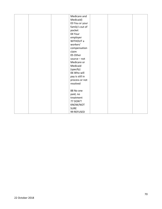| Medicare and    |  |
|-----------------|--|
| Medicaid)       |  |
| 03 You or your  |  |
| family's out of |  |
| pocket          |  |
| 04 Your         |  |
| employer        |  |
| WITHOUT a       |  |
| workers'        |  |
| compensation    |  |
| claim           |  |
| 05 Other        |  |
| source - not    |  |
| Medicare or     |  |
| Medicaid        |  |
| (specify)       |  |
| 06 Who will     |  |
| pay is still in |  |
| process or not  |  |
| resolved        |  |
|                 |  |
| 88 No one       |  |
| paid, no        |  |
| treatment       |  |
| 77 DON'T        |  |
| KNOW/NOT        |  |
| <b>SURE</b>     |  |
| 99 REFUSED      |  |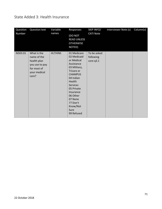#### State Added 3: Health Insurance

| Question<br>Number | <b>Question text</b>                                                                                | Variable<br>names | Responses<br>(DO NOT<br><b>READ UNLESS</b><br><b>OTHERWISE</b><br>NOTED)                                                                                                                                                                         | SKIP INFO/<br><b>CATI Note</b>        | Interviewer Note (s) | Column(s) |
|--------------------|-----------------------------------------------------------------------------------------------------|-------------------|--------------------------------------------------------------------------------------------------------------------------------------------------------------------------------------------------------------------------------------------------|---------------------------------------|----------------------|-----------|
| ND03.01            | What is the<br>name of the<br>health plan<br>you use to pay<br>for most of<br>your medical<br>care? | <b>HLTHINS</b>    | 01 Medicare<br>02 Medicaid<br>or Medical<br>Assistance<br>03 Military,<br>Tricare or<br><b>CHAMPUS</b><br>04 Indian<br>Health<br><b>Services</b><br>05 Private<br>Insurance<br>06 Other<br>07 None<br>77 Don't<br>Know/Not<br>Sure<br>99 Refused | To be asked<br>following<br>core q3.1 |                      |           |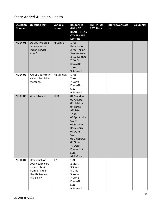State Added 4: Indian Health

| <b>Question</b> | <b>Question text</b>  | Variable        | <b>Responses</b>   | <b>SKIP INFO/</b> | <b>Interviewer Note</b> | Column(s) |
|-----------------|-----------------------|-----------------|--------------------|-------------------|-------------------------|-----------|
| <b>Number</b>   |                       | names           | (DO NOT            | <b>CATI Note</b>  | (s)                     |           |
|                 |                       |                 | <b>READ UNLESS</b> |                   |                         |           |
|                 |                       |                 | <b>OTHERWISE</b>   |                   |                         |           |
|                 |                       |                 | <b>NOTED)</b>      |                   |                         |           |
| ND04.01         | Do you live on a      | <b>RESERVE</b>  | 1 Yes,             |                   |                         |           |
|                 | reservation or        |                 | Reservation        |                   |                         |           |
|                 | <b>Indian Service</b> |                 | 2 Yes, Indian      |                   |                         |           |
|                 | Area?                 |                 | Service Area       |                   |                         |           |
|                 |                       |                 | 3 No, Neither      |                   |                         |           |
|                 |                       |                 | 7 Don't            |                   |                         |           |
|                 |                       |                 | Know/Not           |                   |                         |           |
|                 |                       |                 | Sure               |                   |                         |           |
|                 |                       |                 | 9 Refused          |                   |                         |           |
| ND04.02         | Are you currently     | <b>MEMTRIBE</b> | 1 Yes              |                   |                         |           |
|                 | an enrolled tribal    |                 | 2 No               |                   |                         |           |
|                 | member?               |                 | 7 Don't            |                   |                         |           |
|                 |                       |                 | Know/Not           |                   |                         |           |
|                 |                       |                 | Sure               |                   |                         |           |
|                 |                       |                 | 9 Refused          |                   |                         |           |
| <b>ND03.03</b>  | Which tribe?          | <b>TRIBE</b>    | 01 Mandan          |                   |                         |           |
|                 |                       |                 | 02 Arikara         |                   |                         |           |
|                 |                       |                 | 03 Hidatsa         |                   |                         |           |
|                 |                       |                 | 04 Three           |                   |                         |           |
|                 |                       |                 | Affiliated         |                   |                         |           |
|                 |                       |                 | <b>Tribes</b>      |                   |                         |           |
|                 |                       |                 | 05 Spirit Lake     |                   |                         |           |
|                 |                       |                 | Sioux              |                   |                         |           |
|                 |                       |                 | 06 Standing        |                   |                         |           |
|                 |                       |                 | <b>Rock Sioux</b>  |                   |                         |           |
|                 |                       |                 | 07 Other           |                   |                         |           |
|                 |                       |                 | Sioux              |                   |                         |           |
|                 |                       |                 | 08 Chippewa        |                   |                         |           |
|                 |                       |                 | 09 Other           |                   |                         |           |
|                 |                       |                 | 77 Don't           |                   |                         |           |
|                 |                       |                 | Know/Not           |                   |                         |           |
|                 |                       |                 | Sure               |                   |                         |           |
|                 |                       |                 | 99 Refused         |                   |                         |           |
| ND04.04         | How much of           | <b>IHS</b>      | 1 All              |                   |                         |           |
|                 | your health care      |                 | 2 Most             |                   |                         |           |
|                 | do you obtain         |                 | 3 Some             |                   |                         |           |
|                 | from an Indian        |                 | 4 Little           |                   |                         |           |
|                 | Health Service,       |                 | 5 None             |                   |                         |           |
|                 | IHS clinic?           |                 | 7 Don't            |                   |                         |           |
|                 |                       |                 | Know/Not           |                   |                         |           |
|                 |                       |                 | Sure               |                   |                         |           |
|                 |                       |                 | 9 Refused          |                   |                         |           |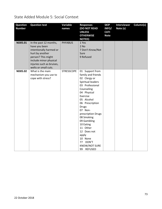## State Added Module 5: Social Context

| <b>Question</b><br><b>Number</b> | <b>Question text</b>                                                                                                                                                                       | Variable<br>names | <b>Responses</b><br><b>(DO NOT READ</b><br><b>UNLESS</b><br><b>OTHERWISE</b><br><b>NOTED)</b>                                                                                                                                                                                                                                                                                    | <b>SKIP</b><br>INFO/<br><b>CATI</b><br><b>Note</b> | <b>Interviewer</b><br>Note (s) | Column(s) |
|----------------------------------|--------------------------------------------------------------------------------------------------------------------------------------------------------------------------------------------|-------------------|----------------------------------------------------------------------------------------------------------------------------------------------------------------------------------------------------------------------------------------------------------------------------------------------------------------------------------------------------------------------------------|----------------------------------------------------|--------------------------------|-----------|
| ND05.01                          | In the past 12 months,<br>have you been<br>intentionally harmed or<br>hurt by another<br>person? This might<br>include minor physical<br>injuries such as bruises,<br>welts or small cuts. | <b>PHYABUS</b>    | 1 Yes<br>$2$ No<br>7 Don't Know/Not<br>Sure<br>9 Refused                                                                                                                                                                                                                                                                                                                         |                                                    |                                |           |
| <b>ND05.02</b>                   | What is the main<br>mechanism you use to<br>cope with stress?                                                                                                                              | <b>STRESSCOPE</b> | 01 Support from<br>family and friends<br>02 Clergy or<br>Spiritual leaders<br>03 Professional<br>Counseling<br>04 Physical<br>Exercise<br>05 Alcohol<br>06 Prescription<br><b>Drugs</b><br>07 Non-<br>prescription Drugs<br>08 Smoking<br>09 Gambling<br>10 Eating<br>11 Other<br>12 Does not<br>apply<br>10 None<br>DON'T<br>77<br><b>KNOW/NOT SURE</b><br>99<br><b>REFUSED</b> |                                                    |                                |           |